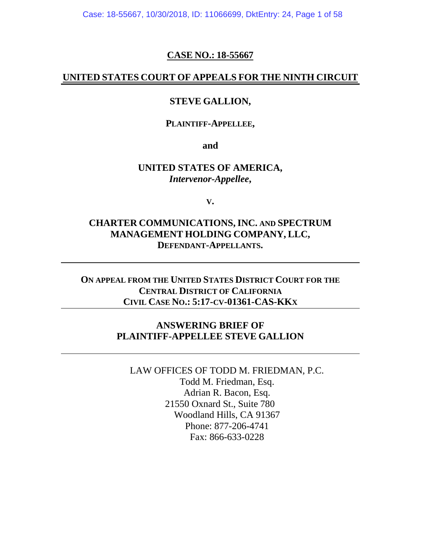Case: 18-55667, 10/30/2018, ID: 11066699, DktEntry: 24, Page 1 of 58

### **CASE NO.: 18-55667**

### **UNITED STATES COURT OF APPEALS FOR THE NINTH CIRCUIT**

### **STEVE GALLION,**

#### **PLAINTIFF-APPELLEE,**

**and**

### **UNITED STATES OF AMERICA,** *Intervenor-Appellee***,**

**V.**

## **CHARTER COMMUNICATIONS,INC. AND SPECTRUM MANAGEMENT HOLDING COMPANY, LLC, DEFENDANT-APPELLANTS.**

## **ON APPEAL FROM THE UNITED STATES DISTRICT COURT FOR THE CENTRAL DISTRICT OF CALIFORNIA CIVIL CASE NO.: 5:17-CV-01361-CAS-KKX**

## **ANSWERING BRIEF OF PLAINTIFF-APPELLEE STEVE GALLION**

LAW OFFICES OF TODD M. FRIEDMAN, P.C. Todd M. Friedman, Esq. Adrian R. Bacon, Esq. 21550 Oxnard St., Suite 780 Woodland Hills, CA 91367 Phone: 877-206-4741 Fax: 866-633-0228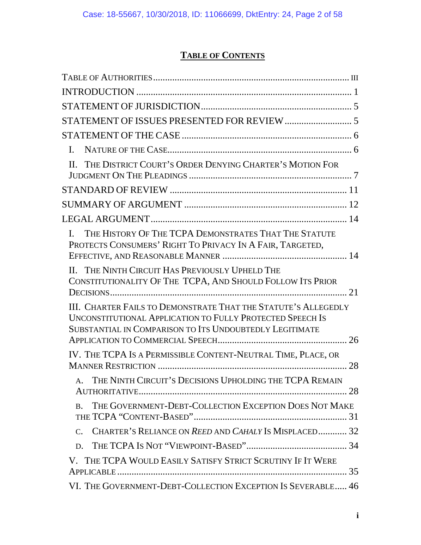# **TABLE OF CONTENTS**

| $\mathbf{L}$                                                                                                                                                                                  |
|-----------------------------------------------------------------------------------------------------------------------------------------------------------------------------------------------|
| II. THE DISTRICT COURT'S ORDER DENYING CHARTER'S MOTION FOR                                                                                                                                   |
|                                                                                                                                                                                               |
|                                                                                                                                                                                               |
|                                                                                                                                                                                               |
| THE HISTORY OF THE TCPA DEMONSTRATES THAT THE STATUTE<br>$\mathbf{L}$<br>PROTECTS CONSUMERS' RIGHT TO PRIVACY IN A FAIR, TARGETED,                                                            |
| II. THE NINTH CIRCUIT HAS PREVIOUSLY UPHELD THE<br>CONSTITUTIONALITY OF THE TCPA, AND SHOULD FOLLOW ITS PRIOR                                                                                 |
| III. CHARTER FAILS TO DEMONSTRATE THAT THE STATUTE'S ALLEGEDLY<br><b>UNCONSTITUTIONAL APPLICATION TO FULLY PROTECTED SPEECH IS</b><br>SUBSTANTIAL IN COMPARISON TO ITS UNDOUBTEDLY LEGITIMATE |
| IV. THE TCPA IS A PERMISSIBLE CONTENT-NEUTRAL TIME, PLACE, OR                                                                                                                                 |
| A. THE NINTH CIRCUIT'S DECISIONS UPHOLDING THE TCPA REMAIN                                                                                                                                    |
| THE GOVERNMENT-DEBT-COLLECTION EXCEPTION DOES NOT MAKE<br><b>B.</b>                                                                                                                           |
| CHARTER'S RELIANCE ON REED AND CAHALY IS MISPLACED 32<br>$C_{\bullet}$                                                                                                                        |
| D.                                                                                                                                                                                            |
| V. THE TCPA WOULD EASILY SATISFY STRICT SCRUTINY IF IT WERE                                                                                                                                   |
| VI. THE GOVERNMENT-DEBT-COLLECTION EXCEPTION IS SEVERABLE 46                                                                                                                                  |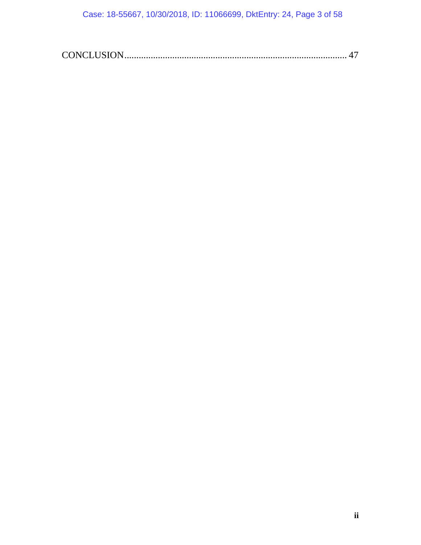Case: 18-55667, 10/30/2018, ID: 11066699, DktEntry: 24, Page 3 of 58

|--|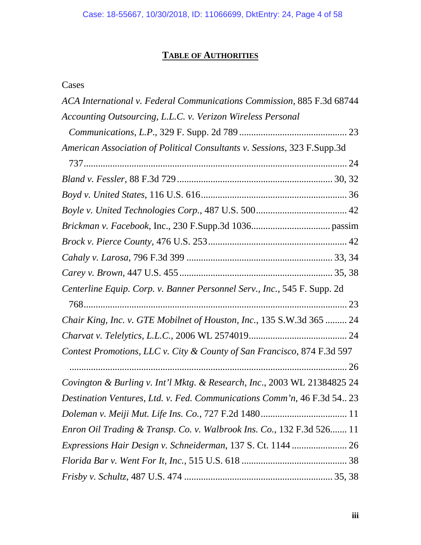# **TABLE OF AUTHORITIES**

## <span id="page-3-0"></span>Cases

| ACA International v. Federal Communications Commission, 885 F.3d 68744   |  |
|--------------------------------------------------------------------------|--|
| Accounting Outsourcing, L.L.C. v. Verizon Wireless Personal              |  |
|                                                                          |  |
| American Association of Political Consultants v. Sessions, 323 F.Supp.3d |  |
|                                                                          |  |
|                                                                          |  |
|                                                                          |  |
|                                                                          |  |
|                                                                          |  |
|                                                                          |  |
|                                                                          |  |
|                                                                          |  |
| Centerline Equip. Corp. v. Banner Personnel Serv., Inc., 545 F. Supp. 2d |  |
|                                                                          |  |
| Chair King, Inc. v. GTE Mobilnet of Houston, Inc., 135 S.W.3d 365  24    |  |
|                                                                          |  |
| Contest Promotions, LLC v. City & County of San Francisco, 874 F.3d 597  |  |
|                                                                          |  |
| Covington & Burling v. Int'l Mktg. & Research, Inc., 2003 WL 21384825 24 |  |
| Destination Ventures, Ltd. v. Fed. Communications Comm'n, 46 F.3d 54 23  |  |
|                                                                          |  |
| Enron Oil Trading & Transp. Co. v. Walbrook Ins. Co., 132 F.3d 526 11    |  |
|                                                                          |  |
|                                                                          |  |
|                                                                          |  |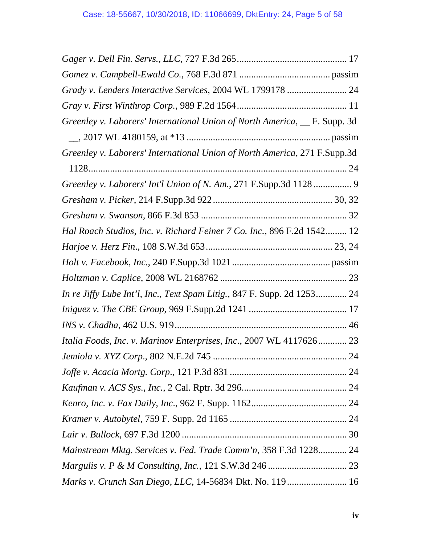| Grady v. Lenders Interactive Services, 2004 WL 1799178  24                  |  |
|-----------------------------------------------------------------------------|--|
|                                                                             |  |
| Greenley v. Laborers' International Union of North America,  __ F. Supp. 3d |  |
|                                                                             |  |
| Greenley v. Laborers' International Union of North America, 271 F.Supp.3d   |  |
|                                                                             |  |
| Greenley v. Laborers' Int'l Union of N. Am., 271 F.Supp.3d 1128 9           |  |
|                                                                             |  |
|                                                                             |  |
| Hal Roach Studios, Inc. v. Richard Feiner 7 Co. Inc., 896 F.2d 1542 12      |  |
|                                                                             |  |
|                                                                             |  |
|                                                                             |  |
| In re Jiffy Lube Int'l, Inc., Text Spam Litig., 847 F. Supp. 2d 1253 24     |  |
|                                                                             |  |
|                                                                             |  |
| Italia Foods, Inc. v. Marinov Enterprises, Inc., 2007 WL 4117626 23         |  |
|                                                                             |  |
|                                                                             |  |
|                                                                             |  |
|                                                                             |  |
|                                                                             |  |
|                                                                             |  |
| Mainstream Mktg. Services v. Fed. Trade Comm'n, 358 F.3d 1228 24            |  |
|                                                                             |  |
| Marks v. Crunch San Diego, LLC, 14-56834 Dkt. No. 119 16                    |  |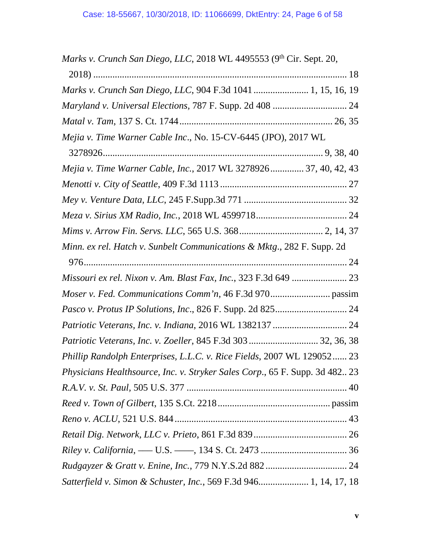| Marks v. Crunch San Diego, LLC, 2018 WL 4495553 (9th Cir. Sept. 20,         |  |
|-----------------------------------------------------------------------------|--|
|                                                                             |  |
| Marks v. Crunch San Diego, LLC, 904 F.3d 1041  1, 15, 16, 19                |  |
| Maryland v. Universal Elections, 787 F. Supp. 2d 408  24                    |  |
|                                                                             |  |
| Mejia v. Time Warner Cable Inc., No. 15-CV-6445 (JPO), 2017 WL              |  |
|                                                                             |  |
| Mejia v. Time Warner Cable, Inc., 2017 WL 3278926 37, 40, 42, 43            |  |
|                                                                             |  |
|                                                                             |  |
|                                                                             |  |
|                                                                             |  |
| Minn. ex rel. Hatch v. Sunbelt Communications & Mktg., 282 F. Supp. 2d      |  |
|                                                                             |  |
| Missouri ex rel. Nixon v. Am. Blast Fax, Inc., 323 F.3d 649  23             |  |
|                                                                             |  |
|                                                                             |  |
|                                                                             |  |
| Patriotic Veterans, Inc. v. Zoeller, 845 F.3d 303  32, 36, 38               |  |
| Phillip Randolph Enterprises, L.L.C. v. Rice Fields, 2007 WL 129052 23      |  |
| Physicians Healthsource, Inc. v. Stryker Sales Corp., 65 F. Supp. 3d 482 23 |  |
|                                                                             |  |
|                                                                             |  |
|                                                                             |  |
|                                                                             |  |
|                                                                             |  |
|                                                                             |  |
| Satterfield v. Simon & Schuster, Inc., 569 F.3d 946 1, 14, 17, 18           |  |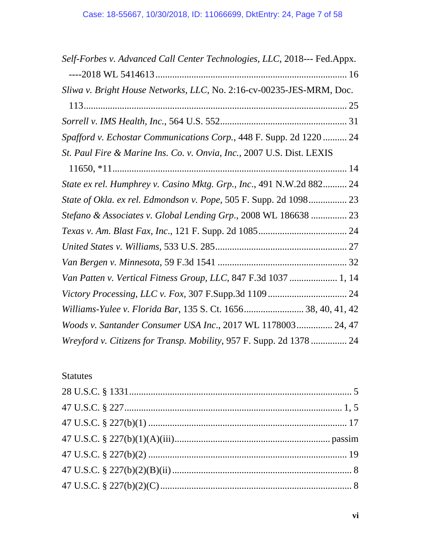| Self-Forbes v. Advanced Call Center Technologies, LLC, 2018--- Fed.Appx. |  |
|--------------------------------------------------------------------------|--|
|                                                                          |  |
| Sliwa v. Bright House Networks, LLC, No. 2:16-cv-00235-JES-MRM, Doc.     |  |
|                                                                          |  |
|                                                                          |  |
| Spafford v. Echostar Communications Corp., 448 F. Supp. 2d 1220  24      |  |
| St. Paul Fire & Marine Ins. Co. v. Onvia, Inc., 2007 U.S. Dist. LEXIS    |  |
|                                                                          |  |
| State ex rel. Humphrey v. Casino Mktg. Grp., Inc., 491 N.W.2d 882 24     |  |
| State of Okla. ex rel. Edmondson v. Pope, 505 F. Supp. 2d 1098 23        |  |
| Stefano & Associates v. Global Lending Grp., 2008 WL 186638  23          |  |
|                                                                          |  |
|                                                                          |  |
|                                                                          |  |
| Van Patten v. Vertical Fitness Group, LLC, 847 F.3d 1037  1, 14          |  |
|                                                                          |  |
| Williams-Yulee v. Florida Bar, 135 S. Ct. 1656 38, 40, 41, 42            |  |
| Woods v. Santander Consumer USA Inc., 2017 WL 1178003 24, 47             |  |
| Wreyford v. Citizens for Transp. Mobility, 957 F. Supp. 2d 1378 24       |  |

# Statutes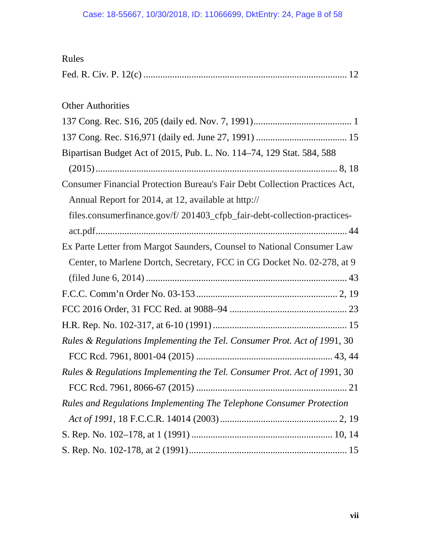| Rules                                                                      |
|----------------------------------------------------------------------------|
|                                                                            |
|                                                                            |
| <b>Other Authorities</b>                                                   |
|                                                                            |
|                                                                            |
| Bipartisan Budget Act of 2015, Pub. L. No. 114–74, 129 Stat. 584, 588      |
|                                                                            |
| Consumer Financial Protection Bureau's Fair Debt Collection Practices Act, |
| Annual Report for 2014, at 12, available at http://                        |
| files.consumerfinance.gov/f/201403_cfpb_fair-debt-collection-practices-    |
|                                                                            |
| Ex Parte Letter from Margot Saunders, Counsel to National Consumer Law     |
| Center, to Marlene Dortch, Secretary, FCC in CG Docket No. 02-278, at 9    |
|                                                                            |
|                                                                            |
|                                                                            |
|                                                                            |
| Rules & Regulations Implementing the Tel. Consumer Prot. Act of 1991, 30   |
|                                                                            |
| Rules & Regulations Implementing the Tel. Consumer Prot. Act of 1991, 30   |
|                                                                            |
| Rules and Regulations Implementing The Telephone Consumer Protection       |
|                                                                            |
|                                                                            |
|                                                                            |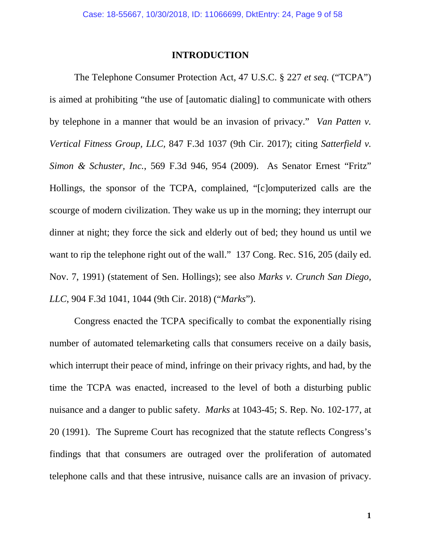### **INTRODUCTION**

<span id="page-8-0"></span>The Telephone Consumer Protection Act, 47 U.S.C. § 227 *et seq.* ("TCPA") is aimed at prohibiting "the use of [automatic dialing] to communicate with others by telephone in a manner that would be an invasion of privacy." *Van Patten v. Vertical Fitness Group, LLC,* 847 F.3d 1037 (9th Cir. 2017); citing *Satterfield v. Simon & Schuster, Inc.*, 569 F.3d 946, 954 (2009). As Senator Ernest "Fritz" Hollings, the sponsor of the TCPA, complained, "[c]omputerized calls are the scourge of modern civilization. They wake us up in the morning; they interrupt our dinner at night; they force the sick and elderly out of bed; they hound us until we want to rip the telephone right out of the wall." 137 Cong. Rec. S16, 205 (daily ed. Nov. 7, 1991) (statement of Sen. Hollings); see also *Marks v. Crunch San Diego, LLC*, 904 F.3d 1041, 1044 (9th Cir. 2018) ("*Marks*").

Congress enacted the TCPA specifically to combat the exponentially rising number of automated telemarketing calls that consumers receive on a daily basis, which interrupt their peace of mind, infringe on their privacy rights, and had, by the time the TCPA was enacted, increased to the level of both a disturbing public nuisance and a danger to public safety. *Marks* at 1043-45; S. Rep. No. 102-177, at 20 (1991). The Supreme Court has recognized that the statute reflects Congress's findings that that consumers are outraged over the proliferation of automated telephone calls and that these intrusive, nuisance calls are an invasion of privacy.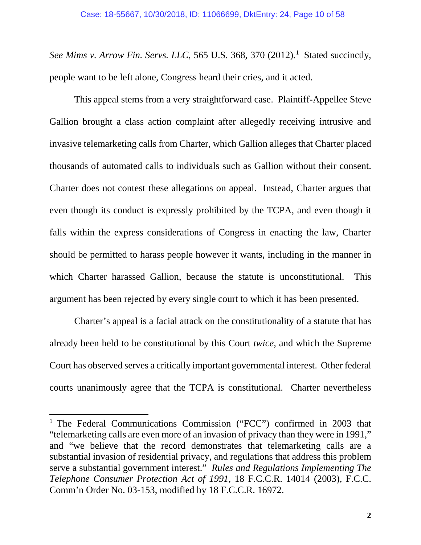*See Mims v. Arrow Fin. Servs. LLC*, 565 U.S. 368, 370 (2012). [1](#page-9-0) Stated succinctly, people want to be left alone, Congress heard their cries, and it acted.

This appeal stems from a very straightforward case. Plaintiff-Appellee Steve Gallion brought a class action complaint after allegedly receiving intrusive and invasive telemarketing calls from Charter, which Gallion alleges that Charter placed thousands of automated calls to individuals such as Gallion without their consent. Charter does not contest these allegations on appeal. Instead, Charter argues that even though its conduct is expressly prohibited by the TCPA, and even though it falls within the express considerations of Congress in enacting the law, Charter should be permitted to harass people however it wants, including in the manner in which Charter harassed Gallion, because the statute is unconstitutional. This argument has been rejected by every single court to which it has been presented.

Charter's appeal is a facial attack on the constitutionality of a statute that has already been held to be constitutional by this Court *twice*, and which the Supreme Court has observed serves a critically important governmental interest. Other federal courts unanimously agree that the TCPA is constitutional. Charter nevertheless

<span id="page-9-0"></span><sup>&</sup>lt;sup>1</sup> The Federal Communications Commission ("FCC") confirmed in 2003 that "telemarketing calls are even more of an invasion of privacy than they were in 1991," and "we believe that the record demonstrates that telemarketing calls are a substantial invasion of residential privacy, and regulations that address this problem serve a substantial government interest." *Rules and Regulations Implementing The Telephone Consumer Protection Act of 1991*, 18 F.C.C.R. 14014 (2003), F.C.C. Comm'n Order No. 03-153, modified by 18 F.C.C.R. 16972.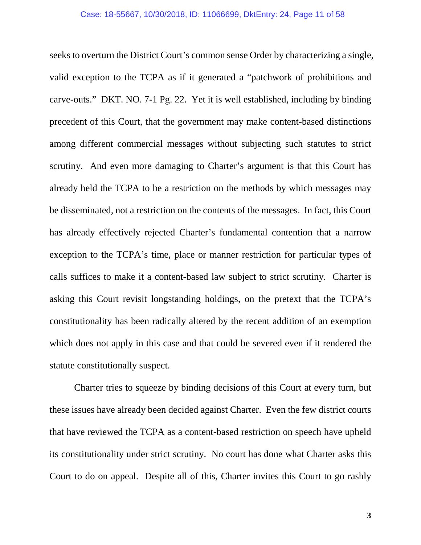seeks to overturn the District Court's common sense Order by characterizing a single, valid exception to the TCPA as if it generated a "patchwork of prohibitions and carve-outs." DKT. NO. 7-1 Pg. 22. Yet it is well established, including by binding precedent of this Court, that the government may make content-based distinctions among different commercial messages without subjecting such statutes to strict scrutiny. And even more damaging to Charter's argument is that this Court has already held the TCPA to be a restriction on the methods by which messages may be disseminated, not a restriction on the contents of the messages. In fact, this Court has already effectively rejected Charter's fundamental contention that a narrow exception to the TCPA's time, place or manner restriction for particular types of calls suffices to make it a content-based law subject to strict scrutiny. Charter is asking this Court revisit longstanding holdings, on the pretext that the TCPA's constitutionality has been radically altered by the recent addition of an exemption which does not apply in this case and that could be severed even if it rendered the statute constitutionally suspect.

Charter tries to squeeze by binding decisions of this Court at every turn, but these issues have already been decided against Charter. Even the few district courts that have reviewed the TCPA as a content-based restriction on speech have upheld its constitutionality under strict scrutiny. No court has done what Charter asks this Court to do on appeal. Despite all of this, Charter invites this Court to go rashly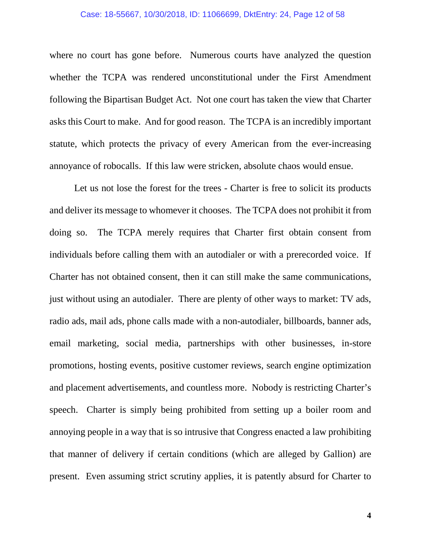#### Case: 18-55667, 10/30/2018, ID: 11066699, DktEntry: 24, Page 12 of 58

where no court has gone before. Numerous courts have analyzed the question whether the TCPA was rendered unconstitutional under the First Amendment following the Bipartisan Budget Act. Not one court has taken the view that Charter asks this Court to make. And for good reason. The TCPA is an incredibly important statute, which protects the privacy of every American from the ever-increasing annoyance of robocalls. If this law were stricken, absolute chaos would ensue.

Let us not lose the forest for the trees - Charter is free to solicit its products and deliver its message to whomever it chooses. The TCPA does not prohibit it from doing so. The TCPA merely requires that Charter first obtain consent from individuals before calling them with an autodialer or with a prerecorded voice. If Charter has not obtained consent, then it can still make the same communications, just without using an autodialer. There are plenty of other ways to market: TV ads, radio ads, mail ads, phone calls made with a non-autodialer, billboards, banner ads, email marketing, social media, partnerships with other businesses, in-store promotions, hosting events, positive customer reviews, search engine optimization and placement advertisements, and countless more. Nobody is restricting Charter's speech. Charter is simply being prohibited from setting up a boiler room and annoying people in a way that is so intrusive that Congress enacted a law prohibiting that manner of delivery if certain conditions (which are alleged by Gallion) are present. Even assuming strict scrutiny applies, it is patently absurd for Charter to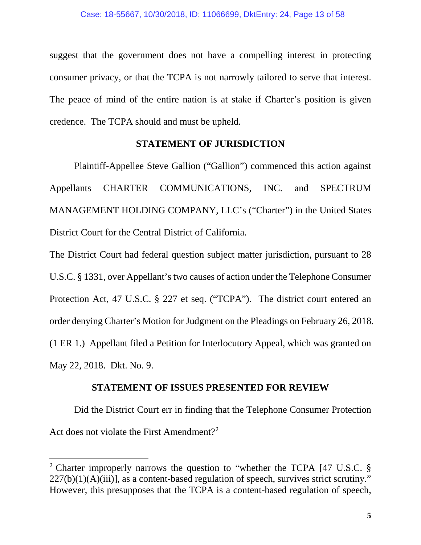suggest that the government does not have a compelling interest in protecting consumer privacy, or that the TCPA is not narrowly tailored to serve that interest. The peace of mind of the entire nation is at stake if Charter's position is given credence. The TCPA should and must be upheld.

### **STATEMENT OF JURISDICTION**

<span id="page-12-0"></span>Plaintiff-Appellee Steve Gallion ("Gallion") commenced this action against Appellants CHARTER COMMUNICATIONS, INC. and SPECTRUM MANAGEMENT HOLDING COMPANY, LLC's ("Charter") in the United States District Court for the Central District of California.

The District Court had federal question subject matter jurisdiction, pursuant to 28 U.S.C. § 1331, over Appellant's two causes of action under the Telephone Consumer Protection Act, 47 U.S.C. § 227 et seq. ("TCPA"). The district court entered an order denying Charter's Motion for Judgment on the Pleadings on February 26, 2018. (1 ER 1.) Appellant filed a Petition for Interlocutory Appeal, which was granted on May 22, 2018. Dkt. No. 9.

## **STATEMENT OF ISSUES PRESENTED FOR REVIEW**

<span id="page-12-1"></span>Did the District Court err in finding that the Telephone Consumer Protection Act does not violate the First Amendment?<sup>[2](#page-12-2)</sup>

<span id="page-12-2"></span><sup>2</sup> Charter improperly narrows the question to "whether the TCPA [47 U.S.C. §  $227(b)(1)(A)(iii)$ , as a content-based regulation of speech, survives strict scrutiny." However, this presupposes that the TCPA is a content-based regulation of speech,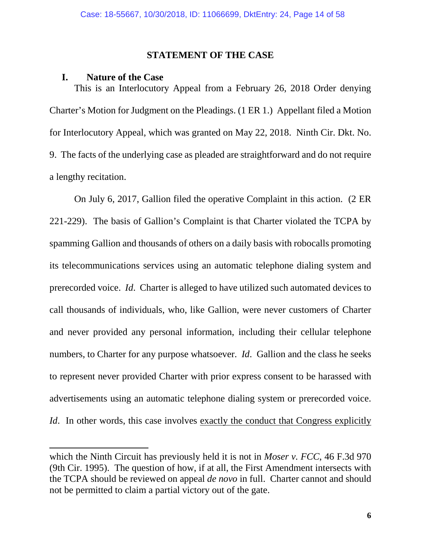#### **STATEMENT OF THE CASE**

#### <span id="page-13-0"></span>**I. Nature of the Case**

<span id="page-13-1"></span>This is an Interlocutory Appeal from a February 26, 2018 Order denying Charter's Motion for Judgment on the Pleadings. (1 ER 1.) Appellant filed a Motion for Interlocutory Appeal, which was granted on May 22, 2018. Ninth Cir. Dkt. No. 9. The facts of the underlying case as pleaded are straightforward and do not require a lengthy recitation.

On July 6, 2017, Gallion filed the operative Complaint in this action. (2 ER 221-229). The basis of Gallion's Complaint is that Charter violated the TCPA by spamming Gallion and thousands of others on a daily basis with robocalls promoting its telecommunications services using an automatic telephone dialing system and prerecorded voice. *Id*. Charter is alleged to have utilized such automated devices to call thousands of individuals, who, like Gallion, were never customers of Charter and never provided any personal information, including their cellular telephone numbers, to Charter for any purpose whatsoever. *Id*. Gallion and the class he seeks to represent never provided Charter with prior express consent to be harassed with advertisements using an automatic telephone dialing system or prerecorded voice. *Id.* In other words, this case involves exactly the conduct that Congress explicitly

which the Ninth Circuit has previously held it is not in *Moser v. FCC*, 46 F.3d 970 (9th Cir. 1995). The question of how, if at all, the First Amendment intersects with the TCPA should be reviewed on appeal *de novo* in full. Charter cannot and should not be permitted to claim a partial victory out of the gate.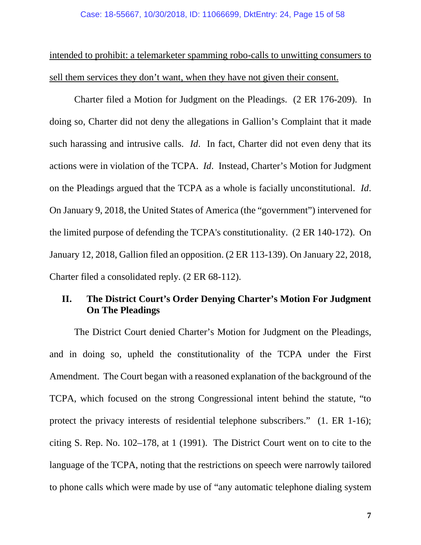intended to prohibit: a telemarketer spamming robo-calls to unwitting consumers to sell them services they don't want, when they have not given their consent.

Charter filed a Motion for Judgment on the Pleadings. (2 ER 176-209). In doing so, Charter did not deny the allegations in Gallion's Complaint that it made such harassing and intrusive calls. *Id*. In fact, Charter did not even deny that its actions were in violation of the TCPA. *Id*. Instead, Charter's Motion for Judgment on the Pleadings argued that the TCPA as a whole is facially unconstitutional. *Id*. On January 9, 2018, the United States of America (the "government") intervened for the limited purpose of defending the TCPA's constitutionality. (2 ER 140-172). On January 12, 2018, Gallion filed an opposition. (2 ER 113-139). On January 22, 2018, Charter filed a consolidated reply. (2 ER 68-112).

## <span id="page-14-0"></span>**II. The District Court's Order Denying Charter's Motion For Judgment On The Pleadings**

The District Court denied Charter's Motion for Judgment on the Pleadings, and in doing so, upheld the constitutionality of the TCPA under the First Amendment. The Court began with a reasoned explanation of the background of the TCPA, which focused on the strong Congressional intent behind the statute, "to protect the privacy interests of residential telephone subscribers." (1. ER 1-16); citing S. Rep. No. 102–178, at 1 (1991). The District Court went on to cite to the language of the TCPA, noting that the restrictions on speech were narrowly tailored to phone calls which were made by use of "any automatic telephone dialing system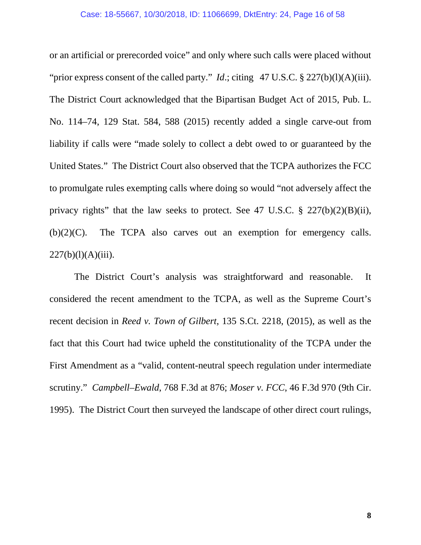or an artificial or prerecorded voice" and only where such calls were placed without "prior express consent of the called party." *Id*.; citing 47 U.S.C. § 227(b)(l)(A)(iii). The District Court acknowledged that the Bipartisan Budget Act of 2015, Pub. L. No. 114–74, 129 Stat. 584, 588 (2015) recently added a single carve-out from liability if calls were "made solely to collect a debt owed to or guaranteed by the United States." The District Court also observed that the TCPA authorizes the FCC to promulgate rules exempting calls where doing so would "not adversely affect the privacy rights" that the law seeks to protect. See 47 U.S.C.  $\S$  227(b)(2)(B)(ii),  $(b)(2)(C)$ . The TCPA also carves out an exemption for emergency calls.  $227(b)(1)(A)(iii)$ .

The District Court's analysis was straightforward and reasonable. It considered the recent amendment to the TCPA, as well as the Supreme Court's recent decision in *Reed v. Town of Gilbert*, 135 S.Ct. 2218, (2015), as well as the fact that this Court had twice upheld the constitutionality of the TCPA under the First Amendment as a "valid, content-neutral speech regulation under intermediate scrutiny." *Campbell–Ewald*, 768 F.3d at 876; *Moser v. FCC*, 46 F.3d 970 (9th Cir. 1995). The District Court then surveyed the landscape of other direct court rulings,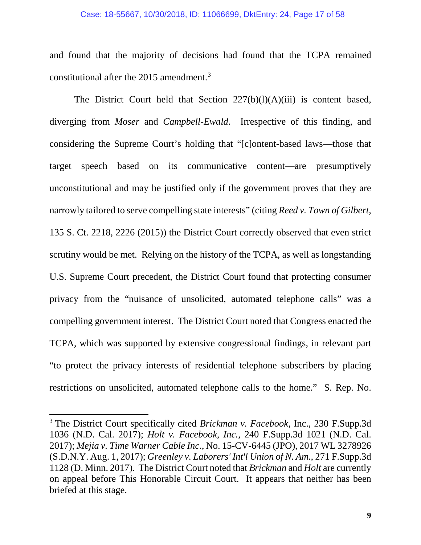and found that the majority of decisions had found that the TCPA remained constitutional after the 2015 amendment. [3](#page-16-0)

The District Court held that Section 227(b)(l)(A)(iii) is content based, diverging from *Moser* and *Campbell-Ewald*. Irrespective of this finding, and considering the Supreme Court's holding that "[c]ontent-based laws—those that target speech based on its communicative content—are presumptively unconstitutional and may be justified only if the government proves that they are narrowly tailored to serve compelling state interests" (citing *Reed v. Town of Gilbert*, 135 S. Ct. 2218, 2226 (2015)) the District Court correctly observed that even strict scrutiny would be met. Relying on the history of the TCPA, as well as longstanding U.S. Supreme Court precedent, the District Court found that protecting consumer privacy from the "nuisance of unsolicited, automated telephone calls" was a compelling government interest. The District Court noted that Congress enacted the TCPA, which was supported by extensive congressional findings, in relevant part "to protect the privacy interests of residential telephone subscribers by placing restrictions on unsolicited, automated telephone calls to the home." S. Rep. No.

<span id="page-16-0"></span><sup>3</sup> The District Court specifically cited *Brickman v. Facebook*, Inc., 230 F.Supp.3d 1036 (N.D. Cal. 2017); *Holt v. Facebook, Inc.*, 240 F.Supp.3d 1021 (N.D. Cal. 2017); *Mejia v. Time Warner Cable Inc*., No. 15-CV-6445 (JPO), 2017 WL 3278926 (S.D.N.Y. Aug. 1, 2017); *Greenley v. Laborers' Int'l Union of N. Am.*, 271 F.Supp.3d 1128 (D. Minn. 2017). The District Court noted that *Brickman* and *Holt* are currently on appeal before This Honorable Circuit Court. It appears that neither has been briefed at this stage.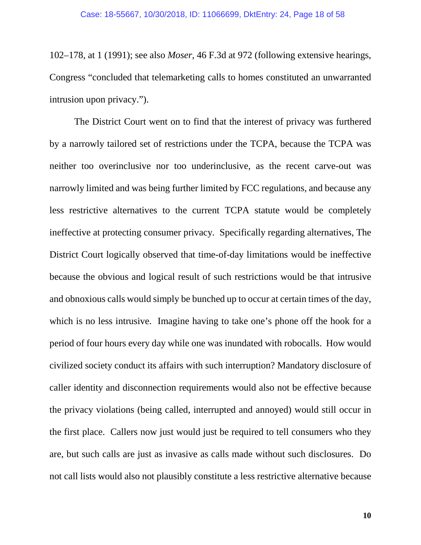102–178, at 1 (1991); see also *Moser*, 46 F.3d at 972 (following extensive hearings, Congress "concluded that telemarketing calls to homes constituted an unwarranted intrusion upon privacy.").

The District Court went on to find that the interest of privacy was furthered by a narrowly tailored set of restrictions under the TCPA, because the TCPA was neither too overinclusive nor too underinclusive, as the recent carve-out was narrowly limited and was being further limited by FCC regulations, and because any less restrictive alternatives to the current TCPA statute would be completely ineffective at protecting consumer privacy. Specifically regarding alternatives, The District Court logically observed that time-of-day limitations would be ineffective because the obvious and logical result of such restrictions would be that intrusive and obnoxious calls would simply be bunched up to occur at certain times of the day, which is no less intrusive. Imagine having to take one's phone off the hook for a period of four hours every day while one was inundated with robocalls. How would civilized society conduct its affairs with such interruption? Mandatory disclosure of caller identity and disconnection requirements would also not be effective because the privacy violations (being called, interrupted and annoyed) would still occur in the first place. Callers now just would just be required to tell consumers who they are, but such calls are just as invasive as calls made without such disclosures. Do not call lists would also not plausibly constitute a less restrictive alternative because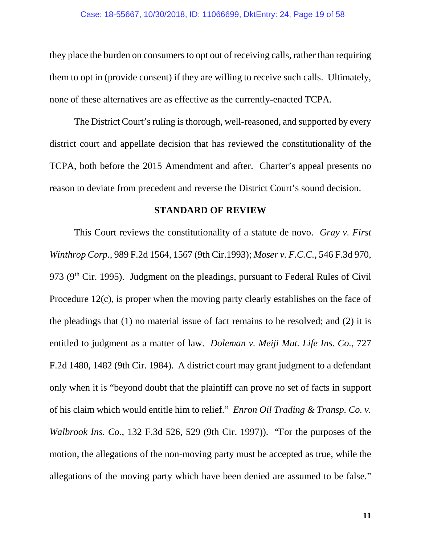they place the burden on consumers to opt out of receiving calls, rather than requiring them to opt in (provide consent) if they are willing to receive such calls. Ultimately, none of these alternatives are as effective as the currently-enacted TCPA.

The District Court's ruling is thorough, well-reasoned, and supported by every district court and appellate decision that has reviewed the constitutionality of the TCPA, both before the 2015 Amendment and after. Charter's appeal presents no reason to deviate from precedent and reverse the District Court's sound decision.

### **STANDARD OF REVIEW**

<span id="page-18-0"></span>This Court reviews the constitutionality of a statute de novo. *Gray v. First Winthrop Corp.*, 989 F.2d 1564, 1567 (9th Cir.1993); *Moser v. F.C.C.*, 546 F.3d 970, 973 ( $9<sup>th</sup>$  Cir. 1995). Judgment on the pleadings, pursuant to Federal Rules of Civil Procedure 12(c), is proper when the moving party clearly establishes on the face of the pleadings that (1) no material issue of fact remains to be resolved; and (2) it is entitled to judgment as a matter of law. *Doleman v. Meiji Mut. Life Ins. Co.*, 727 F.2d 1480, 1482 (9th Cir. 1984). A district court may grant judgment to a defendant only when it is "beyond doubt that the plaintiff can prove no set of facts in support of his claim which would entitle him to relief." *Enron Oil Trading & Transp. Co. v. Walbrook Ins. Co.*, 132 F.3d 526, 529 (9th Cir. 1997)). "For the purposes of the motion, the allegations of the non-moving party must be accepted as true, while the allegations of the moving party which have been denied are assumed to be false."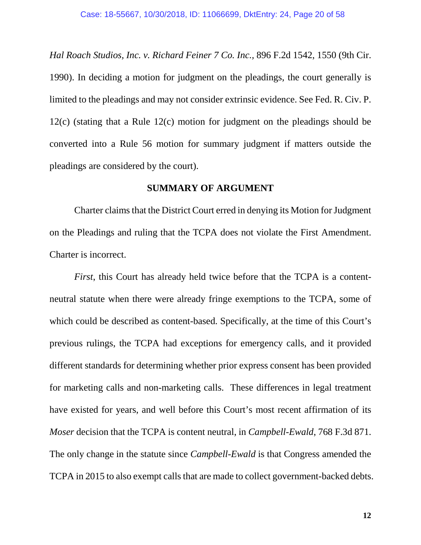*Hal Roach Studios, Inc. v. Richard Feiner 7 Co. Inc.,* 896 F.2d 1542, 1550 (9th Cir. 1990). In deciding a motion for judgment on the pleadings, the court generally is limited to the pleadings and may not consider extrinsic evidence. See Fed. R. Civ. P. 12(c) (stating that a Rule 12(c) motion for judgment on the pleadings should be converted into a Rule 56 motion for summary judgment if matters outside the pleadings are considered by the court).

#### **SUMMARY OF ARGUMENT**

<span id="page-19-0"></span>Charter claims that the District Court erred in denying its Motion for Judgment on the Pleadings and ruling that the TCPA does not violate the First Amendment. Charter is incorrect.

*First*, this Court has already held twice before that the TCPA is a contentneutral statute when there were already fringe exemptions to the TCPA, some of which could be described as content-based. Specifically, at the time of this Court's previous rulings, the TCPA had exceptions for emergency calls, and it provided different standards for determining whether prior express consent has been provided for marketing calls and non-marketing calls. These differences in legal treatment have existed for years, and well before this Court's most recent affirmation of its *Moser* decision that the TCPA is content neutral, in *Campbell-Ewald*, 768 F.3d 871. The only change in the statute since *Campbell-Ewald* is that Congress amended the TCPA in 2015 to also exempt calls that are made to collect government-backed debts.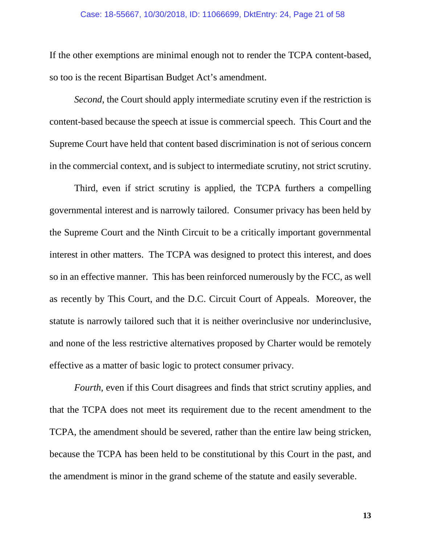If the other exemptions are minimal enough not to render the TCPA content-based, so too is the recent Bipartisan Budget Act's amendment.

*Second*, the Court should apply intermediate scrutiny even if the restriction is content-based because the speech at issue is commercial speech. This Court and the Supreme Court have held that content based discrimination is not of serious concern in the commercial context, and is subject to intermediate scrutiny, not strict scrutiny.

Third, even if strict scrutiny is applied, the TCPA furthers a compelling governmental interest and is narrowly tailored. Consumer privacy has been held by the Supreme Court and the Ninth Circuit to be a critically important governmental interest in other matters. The TCPA was designed to protect this interest, and does so in an effective manner. This has been reinforced numerously by the FCC, as well as recently by This Court, and the D.C. Circuit Court of Appeals. Moreover, the statute is narrowly tailored such that it is neither overinclusive nor underinclusive, and none of the less restrictive alternatives proposed by Charter would be remotely effective as a matter of basic logic to protect consumer privacy.

*Fourth*, even if this Court disagrees and finds that strict scrutiny applies, and that the TCPA does not meet its requirement due to the recent amendment to the TCPA, the amendment should be severed, rather than the entire law being stricken, because the TCPA has been held to be constitutional by this Court in the past, and the amendment is minor in the grand scheme of the statute and easily severable.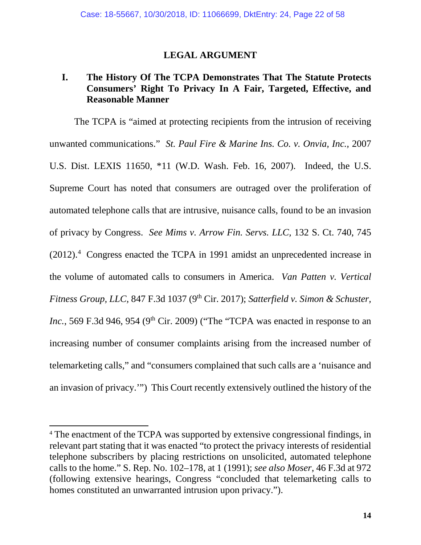## **LEGAL ARGUMENT**

## <span id="page-21-1"></span><span id="page-21-0"></span>**I. The History Of The TCPA Demonstrates That The Statute Protects Consumers' Right To Privacy In A Fair, Targeted, Effective, and Reasonable Manner**

The TCPA is "aimed at protecting recipients from the intrusion of receiving unwanted communications." *St. Paul Fire & Marine Ins. Co. v. Onvia, Inc.,* 2007 U.S. Dist. LEXIS 11650, \*11 (W.D. Wash. Feb. 16, 2007). Indeed, the U.S. Supreme Court has noted that consumers are outraged over the proliferation of automated telephone calls that are intrusive, nuisance calls, found to be an invasion of privacy by Congress. *See Mims v. Arrow Fin. Servs. LLC,* 132 S. Ct. 740, 745  $(2012).<sup>4</sup>$  $(2012).<sup>4</sup>$  $(2012).<sup>4</sup>$  Congress enacted the TCPA in 1991 amidst an unprecedented increase in the volume of automated calls to consumers in America. *Van Patten v. Vertical Fitness Group, LLC, 847 F.3d 1037 (9<sup>th</sup> Cir. 2017); <i>Satterfield v. Simon & Schuster, Inc.*, 569 F.3d 946, 954 (9<sup>th</sup> Cir. 2009) ("The "TCPA was enacted in response to an increasing number of consumer complaints arising from the increased number of telemarketing calls," and "consumers complained that such calls are a 'nuisance and an invasion of privacy.'") This Court recently extensively outlined the history of the

<span id="page-21-2"></span><sup>&</sup>lt;sup>4</sup> The enactment of the TCPA was supported by extensive congressional findings, in relevant part stating that it was enacted "to protect the privacy interests of residential telephone subscribers by placing restrictions on unsolicited, automated telephone calls to the home." S. Rep. No. 102–178, at 1 (1991); *see also Moser*, 46 F.3d at 972 (following extensive hearings, Congress "concluded that telemarketing calls to homes constituted an unwarranted intrusion upon privacy.").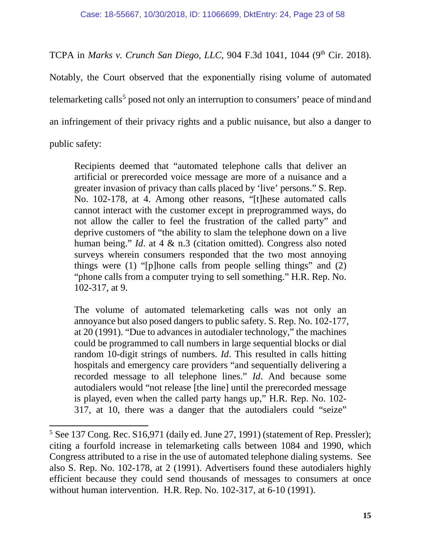TCPA in *Marks v. Crunch San Diego, LLC*, 904 F.3d 1041, 1044 (9<sup>th</sup> Cir. 2018).

Notably, the Court observed that the exponentially rising volume of automated telemarketing calls<sup>[5](#page-22-0)</sup> posed not only an interruption to consumers' peace of mind and an infringement of their privacy rights and a public nuisance, but also a danger to public safety:

Recipients deemed that "automated telephone calls that deliver an artificial or prerecorded voice message are more of a nuisance and a greater invasion of privacy than calls placed by 'live' persons." S. Rep. No. 102-178, at 4. Among other reasons, "[t]hese automated calls cannot interact with the customer except in preprogrammed ways, do not allow the caller to feel the frustration of the called party" and deprive customers of "the ability to slam the telephone down on a live human being." *Id*. at 4 & n.3 (citation omitted). Congress also noted surveys wherein consumers responded that the two most annoying things were  $(1)$  "[p]hone calls from people selling things" and  $(2)$ "phone calls from a computer trying to sell something." H.R. Rep. No. 102-317, at 9.

The volume of automated telemarketing calls was not only an annoyance but also posed dangers to public safety. S. Rep. No. 102-177, at 20 (1991). "Due to advances in autodialer technology," the machines could be programmed to call numbers in large sequential blocks or dial random 10-digit strings of numbers. *Id*. This resulted in calls hitting hospitals and emergency care providers "and sequentially delivering a recorded message to all telephone lines." *Id*. And because some autodialers would "not release [the line] until the prerecorded message is played, even when the called party hangs up," H.R. Rep. No. 102- 317, at 10, there was a danger that the autodialers could "seize"

<span id="page-22-0"></span><sup>&</sup>lt;sup>5</sup> See 137 Cong. Rec. S16,971 (daily ed. June 27, 1991) (statement of Rep. Pressler); citing a fourfold increase in telemarketing calls between 1084 and 1990, which Congress attributed to a rise in the use of automated telephone dialing systems. See also S. Rep. No. 102-178, at 2 (1991). Advertisers found these autodialers highly efficient because they could send thousands of messages to consumers at once without human intervention. H.R. Rep. No. 102-317, at 6-10 (1991).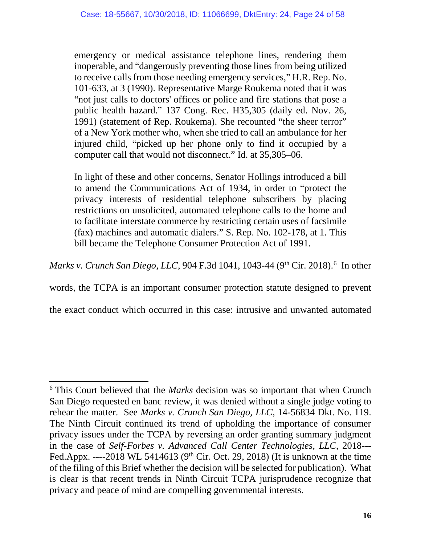emergency or medical assistance telephone lines, rendering them inoperable, and "dangerously preventing those lines from being utilized to receive calls from those needing emergency services," H.R. Rep. No. 101-633, at 3 (1990). Representative Marge Roukema noted that it was "not just calls to doctors' offices or police and fire stations that pose a public health hazard." 137 Cong. Rec. H35,305 (daily ed. Nov. 26, 1991) (statement of Rep. Roukema). She recounted "the sheer terror" of a New York mother who, when she tried to call an ambulance for her injured child, "picked up her phone only to find it occupied by a computer call that would not disconnect." Id. at 35,305–06.

In light of these and other concerns, Senator Hollings introduced a bill to amend the Communications Act of 1934, in order to "protect the privacy interests of residential telephone subscribers by placing restrictions on unsolicited, automated telephone calls to the home and to facilitate interstate commerce by restricting certain uses of facsimile (fax) machines and automatic dialers." S. Rep. No. 102-178, at 1. This bill became the Telephone Consumer Protection Act of 1991.

*Marks v. Crunch San Diego, LLC*, 904 F.3d 1041, 1043-44 (9<sup>th</sup> Cir. 2018).<sup>[6](#page-23-0)</sup> In other

words, the TCPA is an important consumer protection statute designed to prevent

the exact conduct which occurred in this case: intrusive and unwanted automated

<span id="page-23-0"></span><sup>6</sup> This Court believed that the *Marks* decision was so important that when Crunch San Diego requested en banc review, it was denied without a single judge voting to rehear the matter. See *Marks v. Crunch San Diego, LLC*, 14-56834 Dkt. No. 119. The Ninth Circuit continued its trend of upholding the importance of consumer privacy issues under the TCPA by reversing an order granting summary judgment in the case of *Self-Forbes v. Advanced Call Center Technologies, LLC*, 2018--- Fed.Appx. ----2018 WL 5414613 (9<sup>th</sup> Cir. Oct. 29, 2018) (It is unknown at the time of the filing of this Brief whether the decision will be selected for publication). What is clear is that recent trends in Ninth Circuit TCPA jurisprudence recognize that privacy and peace of mind are compelling governmental interests.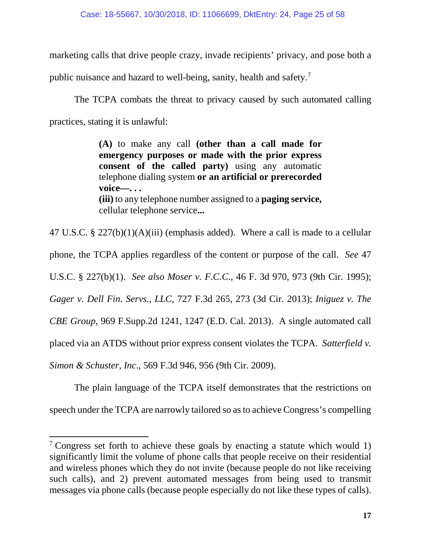marketing calls that drive people crazy, invade recipients' privacy, and pose both a

public nuisance and hazard to well-being, sanity, health and safety.<sup>[7](#page-24-0)</sup>

The TCPA combats the threat to privacy caused by such automated calling practices, stating it is unlawful:

> **(A)** to make any call **(other than a call made for emergency purposes or made with the prior express consent of the called party)** using any automatic telephone dialing system **or an artificial or prerecorded voice—. . . (iii)** to any telephone number assigned to a **paging service,**  cellular telephone service**...**

47 U.S.C. § 227(b)(1)(A)(iii) (emphasis added). Where a call is made to a cellular phone, the TCPA applies regardless of the content or purpose of the call. *See* 47 U.S.C. § 227(b)(1). *See also Moser v. F.C.C.,* 46 F. 3d 970, 973 (9th Cir. 1995); *Gager v. Dell Fin. Servs., LLC,* 727 F.3d 265, 273 (3d Cir. 2013); *Iniguez v. The CBE Group*, 969 F.Supp.2d 1241, 1247 (E.D. Cal. 2013). A single automated call placed via an ATDS without prior express consent violates the TCPA. *Satterfield v. Simon & Schuster, Inc*., 569 F.3d 946, 956 (9th Cir. 2009).

The plain language of the TCPA itself demonstrates that the restrictions on speech under the TCPA are narrowly tailored so as to achieve Congress's compelling

<span id="page-24-0"></span><sup>&</sup>lt;sup>7</sup> Congress set forth to achieve these goals by enacting a statute which would 1) significantly limit the volume of phone calls that people receive on their residential and wireless phones which they do not invite (because people do not like receiving such calls), and 2) prevent automated messages from being used to transmit messages via phone calls (because people especially do not like these types of calls).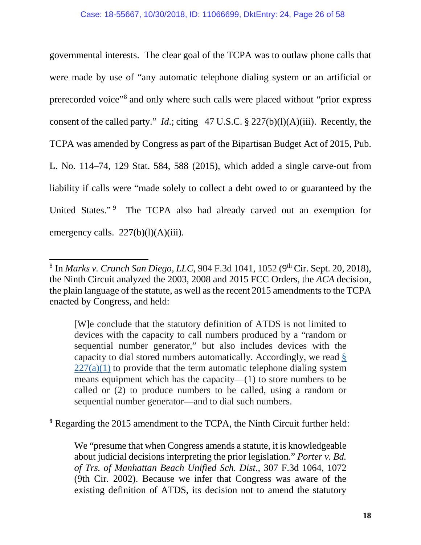governmental interests. The clear goal of the TCPA was to outlaw phone calls that were made by use of "any automatic telephone dialing system or an artificial or prerecorded voice"[8](#page-25-0) and only where such calls were placed without "prior express consent of the called party." *Id*.; citing 47 U.S.C. § 227(b)(l)(A)(iii). Recently, the TCPA was amended by Congress as part of the Bipartisan Budget Act of 2015, Pub. L. No. 114–74, 129 Stat. 584, 588 (2015), which added a single carve-out from liability if calls were "made solely to collect a debt owed to or guaranteed by the United States."<sup>[9](#page-25-1)</sup> The TCPA also had already carved out an exemption for emergency calls.  $227(b)(l)(A)(iii)$ .

[W]e conclude that the statutory definition of ATDS is not limited to devices with the capacity to call numbers produced by a "random or sequential number generator," but also includes devices with the capacity to dial stored numbers automatically. Accordingly, we read [§](https://1.next.westlaw.com/Link/Document/FullText?findType=L&pubNum=1000546&cite=47USCAS227&originatingDoc=Ic4414700bcf211e8afcec29e181e0751&refType=RB&originationContext=document&transitionType=DocumentItem&contextData=(sc.UserEnteredCitation)#co_pp_7b9b000044381)   $227(a)(1)$  to provide that the term automatic telephone dialing system means equipment which has the capacity—(1) to store numbers to be called or (2) to produce numbers to be called, using a random or sequential number generator—and to dial such numbers.

<span id="page-25-1"></span>**<sup>9</sup>** Regarding the 2015 amendment to the TCPA, the Ninth Circuit further held:

We "presume that when Congress amends a statute, it is knowledgeable about judicial decisions interpreting the prior legislation." *Porter v. Bd. of Trs. of Manhattan Beach Unified Sch. Dist.*, 307 F.3d 1064, 1072 (9th Cir. 2002). Because we infer that Congress was aware of the existing definition of ATDS, its decision not to amend the statutory

<span id="page-25-0"></span><sup>&</sup>lt;sup>8</sup> In *Marks v. Crunch San Diego, LLC*, 904 F.3d 1041, 1052 (9<sup>th</sup> Cir. Sept. 20, 2018), the Ninth Circuit analyzed the 2003, 2008 and 2015 FCC Orders, the *ACA* decision, the plain language of the statute, as well as the recent 2015 amendments to the TCPA enacted by Congress, and held: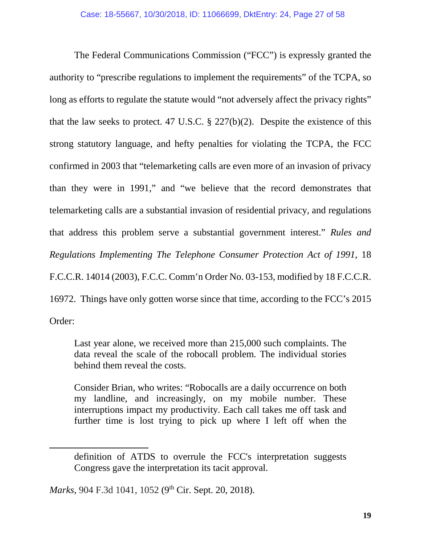The Federal Communications Commission ("FCC") is expressly granted the authority to "prescribe regulations to implement the requirements" of the TCPA, so long as efforts to regulate the statute would "not adversely affect the privacy rights" that the law seeks to protect. 47 U.S.C.  $\S$  227(b)(2). Despite the existence of this strong statutory language, and hefty penalties for violating the TCPA, the FCC confirmed in 2003 that "telemarketing calls are even more of an invasion of privacy than they were in 1991," and "we believe that the record demonstrates that telemarketing calls are a substantial invasion of residential privacy, and regulations that address this problem serve a substantial government interest." *Rules and Regulations Implementing The Telephone Consumer Protection Act of 1991*, 18 F.C.C.R. 14014 (2003), F.C.C. Comm'n Order No. 03-153, modified by 18 F.C.C.R. 16972. Things have only gotten worse since that time, according to the FCC's 2015 Order:

Last year alone, we received more than 215,000 such complaints. The data reveal the scale of the robocall problem. The individual stories behind them reveal the costs.

Consider Brian, who writes: "Robocalls are a daily occurrence on both my landline, and increasingly, on my mobile number. These interruptions impact my productivity. Each call takes me off task and further time is lost trying to pick up where I left off when the

Marks, 904 F.3d 1041, 1052 (9<sup>th</sup> Cir. Sept. 20, 2018).

definition of ATDS to overrule the FCC's interpretation suggests Congress gave the interpretation its tacit approval.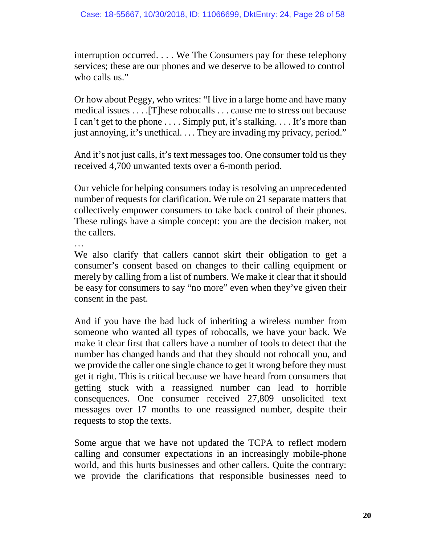interruption occurred. . . . We The Consumers pay for these telephony services; these are our phones and we deserve to be allowed to control who calls us."

Or how about Peggy, who writes: "I live in a large home and have many medical issues . . . .[T]hese robocalls . . . cause me to stress out because I can't get to the phone . . . . Simply put, it's stalking. . . . It's more than just annoying, it's unethical. . . . They are invading my privacy, period."

And it's not just calls, it's text messages too. One consumer told us they received 4,700 unwanted texts over a 6-month period.

Our vehicle for helping consumers today is resolving an unprecedented number of requests for clarification. We rule on 21 separate matters that collectively empower consumers to take back control of their phones. These rulings have a simple concept: you are the decision maker, not the callers.

…

We also clarify that callers cannot skirt their obligation to get a consumer's consent based on changes to their calling equipment or merely by calling from a list of numbers. We make it clear that it should be easy for consumers to say "no more" even when they've given their consent in the past.

And if you have the bad luck of inheriting a wireless number from someone who wanted all types of robocalls, we have your back. We make it clear first that callers have a number of tools to detect that the number has changed hands and that they should not robocall you, and we provide the caller one single chance to get it wrong before they must get it right. This is critical because we have heard from consumers that getting stuck with a reassigned number can lead to horrible consequences. One consumer received 27,809 unsolicited text messages over 17 months to one reassigned number, despite their requests to stop the texts.

Some argue that we have not updated the TCPA to reflect modern calling and consumer expectations in an increasingly mobile-phone world, and this hurts businesses and other callers. Quite the contrary: we provide the clarifications that responsible businesses need to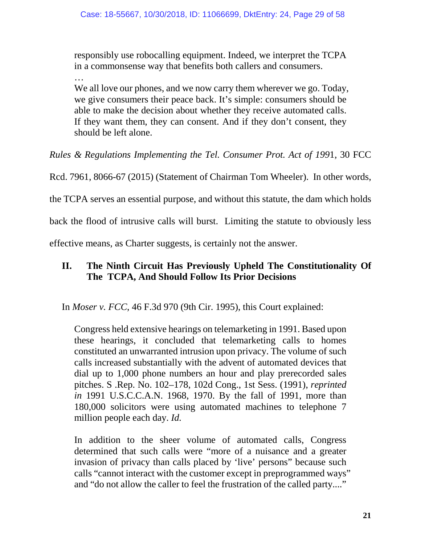responsibly use robocalling equipment. Indeed, we interpret the TCPA in a commonsense way that benefits both callers and consumers.

… We all love our phones, and we now carry them wherever we go. Today, we give consumers their peace back. It's simple: consumers should be able to make the decision about whether they receive automated calls. If they want them, they can consent. And if they don't consent, they should be left alone.

*Rules & Regulations Implementing the Tel. Consumer Prot. Act of 199*1, 30 FCC

Rcd. 7961, 8066-67 (2015) (Statement of Chairman Tom Wheeler). In other words,

the TCPA serves an essential purpose, and without this statute, the dam which holds

back the flood of intrusive calls will burst. Limiting the statute to obviously less

effective means, as Charter suggests, is certainly not the answer.

## <span id="page-28-0"></span>**II. The Ninth Circuit Has Previously Upheld The Constitutionality Of The TCPA, And Should Follow Its Prior Decisions**

In *Moser v. FCC*, 46 F.3d 970 (9th Cir. 1995), this Court explained:

Congress held extensive hearings on telemarketing in 1991. Based upon these hearings, it concluded that telemarketing calls to homes constituted an unwarranted intrusion upon privacy. The volume of such calls increased substantially with the advent of automated devices that dial up to 1,000 phone numbers an hour and play prerecorded sales pitches. S .Rep. No. 102–178, 102d Cong., 1st Sess. (1991), *reprinted in* 1991 U.S.C.C.A.N. 1968, 1970. By the fall of 1991, more than 180,000 solicitors were using automated machines to telephone 7 million people each day. *Id.*

In addition to the sheer volume of automated calls, Congress determined that such calls were "more of a nuisance and a greater invasion of privacy than calls placed by 'live' persons" because such calls "cannot interact with the customer except in preprogrammed ways" and "do not allow the caller to feel the frustration of the called party...."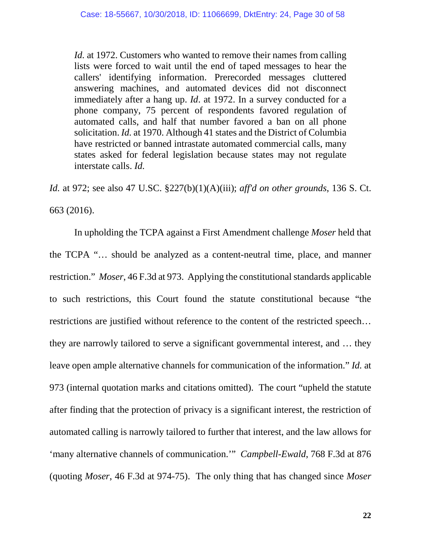*Id.* at 1972. Customers who wanted to remove their names from calling lists were forced to wait until the end of taped messages to hear the callers' identifying information. Prerecorded messages cluttered answering machines, and automated devices did not disconnect immediately after a hang up. *Id*. at 1972. In a survey conducted for a phone company, 75 percent of respondents favored regulation of automated calls, and half that number favored a ban on all phone solicitation. *Id.* at 1970. Although 41 states and the District of Columbia have restricted or banned intrastate automated commercial calls, many states asked for federal legislation because states may not regulate interstate calls. *Id.*

*Id.* at 972; see also 47 U.SC. §227(b)(1)(A)(iii); *aff'd on other grounds*, 136 S. Ct. 663 (2016).

In upholding the TCPA against a First Amendment challenge *Moser* held that the TCPA "… should be analyzed as a content-neutral time, place, and manner restriction." *Moser*, 46 F.3d at 973. Applying the constitutional standards applicable to such restrictions, this Court found the statute constitutional because "the restrictions are justified without reference to the content of the restricted speech… they are narrowly tailored to serve a significant governmental interest, and … they leave open ample alternative channels for communication of the information." *Id.* at 973 (internal quotation marks and citations omitted). The court "upheld the statute after finding that the protection of privacy is a significant interest, the restriction of automated calling is narrowly tailored to further that interest, and the law allows for 'many alternative channels of communication.'" *Campbell-Ewald*, 768 F.3d at 876 (quoting *Moser*, 46 F.3d at 974-75). The only thing that has changed since *Moser*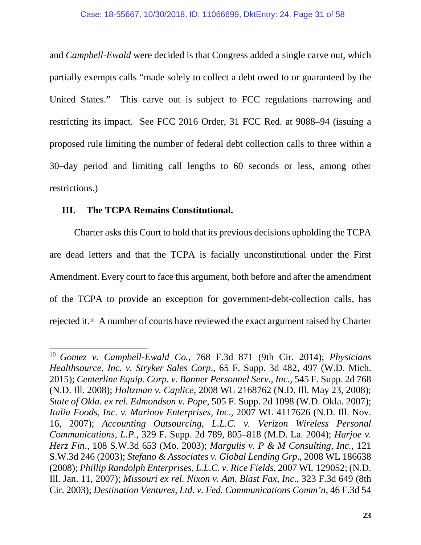and *Campbell-Ewald* were decided is that Congress added a single carve out, which partially exempts calls "made solely to collect a debt owed to or guaranteed by the United States." This carve out is subject to FCC regulations narrowing and restricting its impact. See FCC 2016 Order, 31 FCC Red. at 9088–94 (issuing a proposed rule limiting the number of federal debt collection calls to three within a 30–day period and limiting call lengths to 60 seconds or less, among other restrictions.)

## **III. The TCPA Remains Constitutional.**

Charter asks this Court to hold that its previous decisions upholding the TCPA are dead letters and that the TCPA is facially unconstitutional under the First Amendment. Every court to face this argument, both before and after the amendment of the TCPA to provide an exception for government-debt-collection calls, has rejected it.[10](#page-30-0) A number of courts have reviewed the exact argument raised by Charter

<span id="page-30-0"></span><sup>10</sup> *Gomez v. Campbell-Ewald Co.*, 768 F.3d 871 (9th Cir. 2014); *Physicians Healthsource, Inc. v. Stryker Sales Corp*., 65 F. Supp. 3d 482, 497 (W.D. Mich. 2015); *Centerline Equip. Corp. v. Banner Personnel Serv., Inc.*, 545 F. Supp. 2d 768 (N.D. Ill. 2008); *Holtzman v. Caplice*, 2008 WL 2168762 (N.D. Ill. May 23, 2008); *State of Okla. ex rel. Edmondson v. Pope*, 505 F. Supp. 2d 1098 (W.D. Okla. 2007); *Italia Foods, Inc. v. Marinov Enterprises, Inc*., 2007 WL 4117626 (N.D. Ill. Nov. 16, 2007); *Accounting Outsourcing, L.L.C. v. Verizon Wireless Personal Communications, L.P*., 329 F. Supp. 2d 789, 805–818 (M.D. La. 2004); *Harjoe v. Herz Fin*., 108 S.W.3d 653 (Mo. 2003); *Margulis v. P & M Consulting, Inc.*, 121 S.W.3d 246 (2003); *Stefano & Associates v. Global Lending Grp*., 2008 WL 186638 (2008); *Phillip Randolph Enterprises, L.L.C. v. Rice Fields*, 2007 WL 129052; (N.D. Ill. Jan. 11, 2007); *Missouri ex rel. Nixon v. Am. Blast Fax, Inc.*, 323 F.3d 649 (8th Cir. 2003); *Destination Ventures, Ltd. v. Fed. Communications Comm'n*, 46 F.3d 54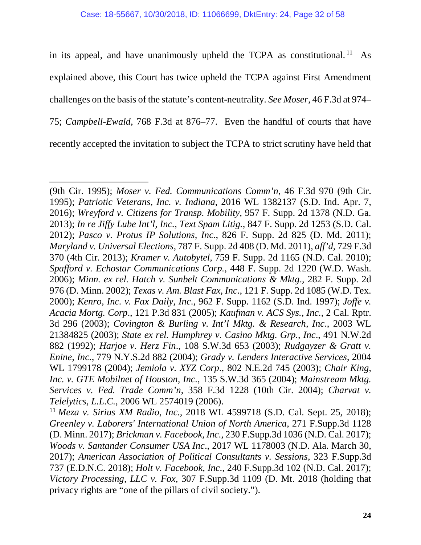in its appeal, and have unanimously upheld the TCPA as constitutional.<sup>[11](#page-31-0)</sup> As explained above, this Court has twice upheld the TCPA against First Amendment challenges on the basis of the statute's content-neutrality. *See Moser*, 46 F.3d at 974– 75; *Campbell-Ewald*, 768 F.3d at 876–77. Even the handful of courts that have recently accepted the invitation to subject the TCPA to strict scrutiny have held that

<sup>(9</sup>th Cir. 1995); *Moser v. Fed. Communications Comm'n*, 46 F.3d 970 (9th Cir. 1995); *Patriotic Veterans, Inc. v. Indiana*, 2016 WL 1382137 (S.D. Ind. Apr. 7, 2016); *Wreyford v. Citizens for Transp. Mobility*, 957 F. Supp. 2d 1378 (N.D. Ga. 2013); *In re Jiffy Lube Int'l, Inc., Text Spam Litig.*, 847 F. Supp. 2d 1253 (S.D. Cal. 2012); *Pasco v. Protus IP Solutions, Inc*., 826 F. Supp. 2d 825 (D. Md. 2011); *Maryland v. Universal Elections,* 787 F. Supp. 2d 408 (D. Md. 2011), *aff'd*, 729 F.3d 370 (4th Cir. 2013); *Kramer v. Autobytel,* 759 F. Supp. 2d 1165 (N.D. Cal. 2010); *Spafford v. Echostar Communications Corp.*, 448 F. Supp. 2d 1220 (W.D. Wash. 2006); *Minn. ex rel. Hatch v. Sunbelt Communications & Mktg*., 282 F. Supp. 2d 976 (D. Minn. 2002); *Texas v. Am. Blast Fax, Inc*., 121 F. Supp. 2d 1085 (W.D. Tex. 2000); *Kenro, Inc. v. Fax Daily, Inc*., 962 F. Supp. 1162 (S.D. Ind. 1997); *Joffe v. Acacia Mortg. Corp*., 121 P.3d 831 (2005); *Kaufman v. ACS Sys., Inc.*, 2 Cal. Rptr. 3d 296 (2003); *Covington & Burling v. Int'l Mktg. & Research, Inc*., 2003 WL 21384825 (2003); *State ex rel. Humphrey v. Casino Mktg. Grp., Inc*., 491 N.W.2d 882 (1992); *Harjoe v. Herz Fin*., 108 S.W.3d 653 (2003); *Rudgayzer & Gratt v. Enine, Inc.*, 779 N.Y.S.2d 882 (2004); *Grady v. Lenders Interactive Services*, 2004 WL 1799178 (2004); *Jemiola v. XYZ Corp*., 802 N.E.2d 745 (2003); *Chair King, Inc. v. GTE Mobilnet of Houston, Inc.*, 135 S.W.3d 365 (2004); *Mainstream Mktg. Services v. Fed. Trade Comm'n*, 358 F.3d 1228 (10th Cir. 2004); *Charvat v. Telelytics, L.L.C.*, 2006 WL 2574019 (2006).

<span id="page-31-0"></span><sup>11</sup> *Meza v. Sirius XM Radio, Inc.*, 2018 WL 4599718 (S.D. Cal. Sept. 25, 2018); *Greenley v. Laborers' International Union of North America*, 271 F.Supp.3d 1128 (D. Minn. 2017); *Brickman v. Facebook, Inc*., 230 F.Supp.3d 1036 (N.D. Cal. 2017); *Woods v. Santander Consumer USA Inc*., 2017 WL 1178003 (N.D. Ala. March 30, 2017); *American Association of Political Consultants v. Sessions,* 323 F.Supp.3d 737 (E.D.N.C. 2018); *Holt v. Facebook, Inc*., 240 F.Supp.3d 102 (N.D. Cal. 2017); *Victory Processing, LLC v. Fox,* 307 F.Supp.3d 1109 (D. Mt. 2018 (holding that privacy rights are "one of the pillars of civil society.").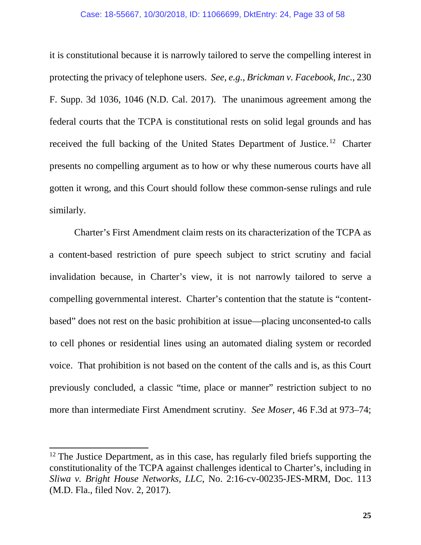it is constitutional because it is narrowly tailored to serve the compelling interest in protecting the privacy of telephone users. *See*, *e.g.*, *Brickman v. Facebook, Inc.*, 230 F. Supp. 3d 1036, 1046 (N.D. Cal. 2017). The unanimous agreement among the federal courts that the TCPA is constitutional rests on solid legal grounds and has received the full backing of the United States Department of Justice.[12](#page-32-0) Charter presents no compelling argument as to how or why these numerous courts have all gotten it wrong, and this Court should follow these common-sense rulings and rule similarly.

Charter's First Amendment claim rests on its characterization of the TCPA as a content-based restriction of pure speech subject to strict scrutiny and facial invalidation because, in Charter's view, it is not narrowly tailored to serve a compelling governmental interest. Charter's contention that the statute is "contentbased" does not rest on the basic prohibition at issue—placing unconsented-to calls to cell phones or residential lines using an automated dialing system or recorded voice. That prohibition is not based on the content of the calls and is, as this Court previously concluded, a classic "time, place or manner" restriction subject to no more than intermediate First Amendment scrutiny. *See Moser*, 46 F.3d at 973–74;

<span id="page-32-0"></span> $12$  The Justice Department, as in this case, has regularly filed briefs supporting the constitutionality of the TCPA against challenges identical to Charter's, including in *Sliwa v. Bright House Networks, LLC*, No. 2:16-cv-00235-JES-MRM, Doc. 113 (M.D. Fla., filed Nov. 2, 2017).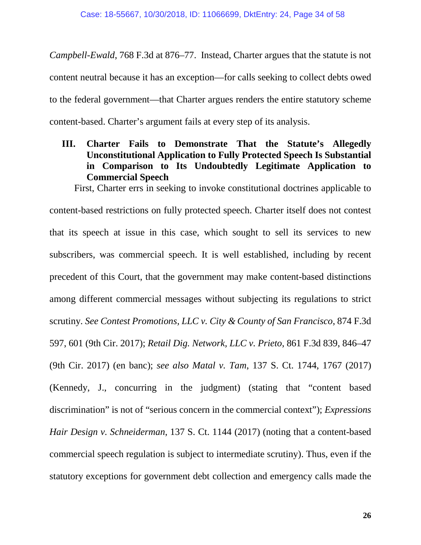*Campbell-Ewald*, 768 F.3d at 876–77. Instead, Charter argues that the statute is not content neutral because it has an exception—for calls seeking to collect debts owed to the federal government—that Charter argues renders the entire statutory scheme content-based. Charter's argument fails at every step of its analysis.

<span id="page-33-0"></span>**III. Charter Fails to Demonstrate That the Statute's Allegedly Unconstitutional Application to Fully Protected Speech Is Substantial in Comparison to Its Undoubtedly Legitimate Application to Commercial Speech**

First, Charter errs in seeking to invoke constitutional doctrines applicable to content-based restrictions on fully protected speech. Charter itself does not contest that its speech at issue in this case, which sought to sell its services to new subscribers, was commercial speech. It is well established, including by recent precedent of this Court, that the government may make content-based distinctions among different commercial messages without subjecting its regulations to strict scrutiny. *See Contest Promotions, LLC v. City & County of San Francisco*, 874 F.3d 597, 601 (9th Cir. 2017); *Retail Dig. Network, LLC v. Prieto*, 861 F.3d 839, 846–47 (9th Cir. 2017) (en banc); *see also Matal v. Tam*, 137 S. Ct. 1744, 1767 (2017) (Kennedy, J., concurring in the judgment) (stating that "content based discrimination" is not of "serious concern in the commercial context"); *Expressions Hair Design v. Schneiderman*, 137 S. Ct. 1144 (2017) (noting that a content-based commercial speech regulation is subject to intermediate scrutiny). Thus, even if the statutory exceptions for government debt collection and emergency calls made the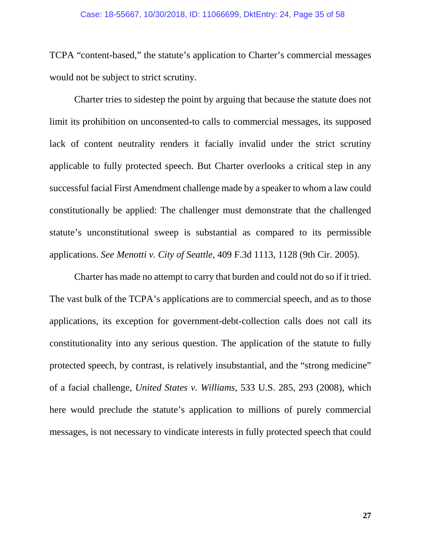TCPA "content-based," the statute's application to Charter's commercial messages would not be subject to strict scrutiny.

Charter tries to sidestep the point by arguing that because the statute does not limit its prohibition on unconsented-to calls to commercial messages, its supposed lack of content neutrality renders it facially invalid under the strict scrutiny applicable to fully protected speech. But Charter overlooks a critical step in any successful facial First Amendment challenge made by a speaker to whom a law could constitutionally be applied: The challenger must demonstrate that the challenged statute's unconstitutional sweep is substantial as compared to its permissible applications. *See Menotti v. City of Seattle*, 409 F.3d 1113, 1128 (9th Cir. 2005).

Charter has made no attempt to carry that burden and could not do so if it tried. The vast bulk of the TCPA's applications are to commercial speech, and as to those applications, its exception for government-debt-collection calls does not call its constitutionality into any serious question. The application of the statute to fully protected speech, by contrast, is relatively insubstantial, and the "strong medicine" of a facial challenge, *United States v. Williams*, 533 U.S. 285, 293 (2008), which here would preclude the statute's application to millions of purely commercial messages, is not necessary to vindicate interests in fully protected speech that could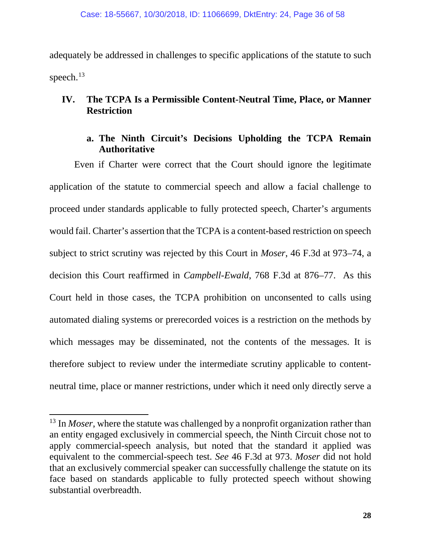adequately be addressed in challenges to specific applications of the statute to such speech. $^{13}$  $^{13}$  $^{13}$ 

## <span id="page-35-0"></span>**IV. The TCPA Is a Permissible Content-Neutral Time, Place, or Manner Restriction**

## **a. The Ninth Circuit's Decisions Upholding the TCPA Remain Authoritative**

<span id="page-35-1"></span>Even if Charter were correct that the Court should ignore the legitimate application of the statute to commercial speech and allow a facial challenge to proceed under standards applicable to fully protected speech, Charter's arguments would fail. Charter's assertion that the TCPA is a content-based restriction on speech subject to strict scrutiny was rejected by this Court in *Moser*, 46 F.3d at 973–74, a decision this Court reaffirmed in *Campbell-Ewald*, 768 F.3d at 876–77. As this Court held in those cases, the TCPA prohibition on unconsented to calls using automated dialing systems or prerecorded voices is a restriction on the methods by which messages may be disseminated, not the contents of the messages. It is therefore subject to review under the intermediate scrutiny applicable to contentneutral time, place or manner restrictions, under which it need only directly serve a

<span id="page-35-2"></span><sup>&</sup>lt;sup>13</sup> In *Moser*, where the statute was challenged by a nonprofit organization rather than an entity engaged exclusively in commercial speech, the Ninth Circuit chose not to apply commercial-speech analysis, but noted that the standard it applied was equivalent to the commercial-speech test. *See* 46 F.3d at 973. *Moser* did not hold that an exclusively commercial speaker can successfully challenge the statute on its face based on standards applicable to fully protected speech without showing substantial overbreadth.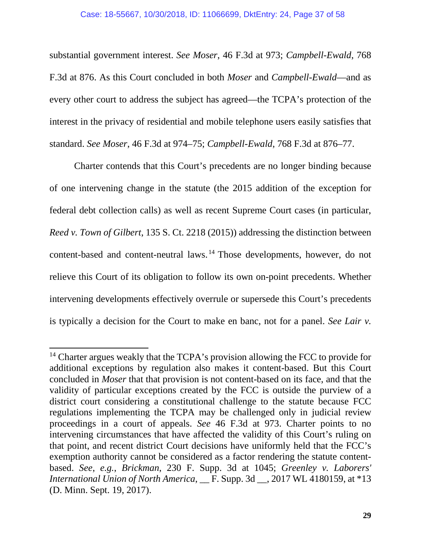substantial government interest. *See Moser*, 46 F.3d at 973; *Campbell-Ewald*, 768 F.3d at 876. As this Court concluded in both *Moser* and *Campbell-Ewald*—and as every other court to address the subject has agreed—the TCPA's protection of the interest in the privacy of residential and mobile telephone users easily satisfies that standard. *See Moser*, 46 F.3d at 974–75; *Campbell-Ewald*, 768 F.3d at 876–77.

Charter contends that this Court's precedents are no longer binding because of one intervening change in the statute (the 2015 addition of the exception for federal debt collection calls) as well as recent Supreme Court cases (in particular, *Reed v. Town of Gilbert*, 135 S. Ct. 2218 (2015)) addressing the distinction between content-based and content-neutral laws. [14](#page-36-0) Those developments, however, do not relieve this Court of its obligation to follow its own on-point precedents. Whether intervening developments effectively overrule or supersede this Court's precedents is typically a decision for the Court to make en banc, not for a panel. *See Lair v.* 

<span id="page-36-0"></span><sup>&</sup>lt;sup>14</sup> Charter argues weakly that the TCPA's provision allowing the FCC to provide for additional exceptions by regulation also makes it content-based. But this Court concluded in *Moser* that that provision is not content-based on its face, and that the validity of particular exceptions created by the FCC is outside the purview of a district court considering a constitutional challenge to the statute because FCC regulations implementing the TCPA may be challenged only in judicial review proceedings in a court of appeals. *See* 46 F.3d at 973. Charter points to no intervening circumstances that have affected the validity of this Court's ruling on that point, and recent district Court decisions have uniformly held that the FCC's exemption authority cannot be considered as a factor rendering the statute contentbased. *See*, *e.g.*, *Brickman*, 230 F. Supp. 3d at 1045; *Greenley v. Laborers' International Union of North America*, \_\_ F. Supp. 3d \_\_, 2017 WL 4180159, at \*13 (D. Minn. Sept. 19, 2017).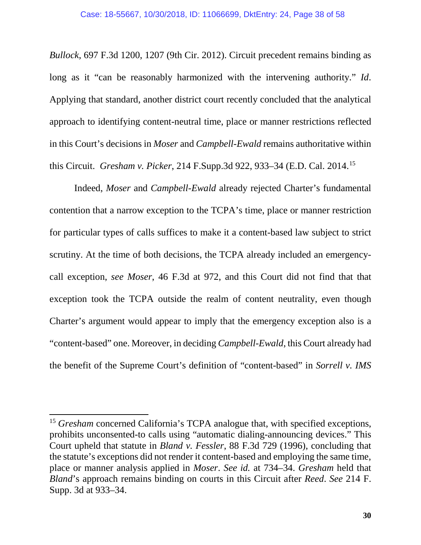*Bullock*, 697 F.3d 1200, 1207 (9th Cir. 2012). Circuit precedent remains binding as long as it "can be reasonably harmonized with the intervening authority." *Id*. Applying that standard, another district court recently concluded that the analytical approach to identifying content-neutral time, place or manner restrictions reflected in this Court's decisions in *Moser* and *Campbell-Ewald* remains authoritative within this Circuit. *Gresham v. Picker*, 214 F.Supp.3d 922, 933–34 (E.D. Cal. 2014. [15](#page-37-0)

Indeed, *Moser* and *Campbell-Ewald* already rejected Charter's fundamental contention that a narrow exception to the TCPA's time, place or manner restriction for particular types of calls suffices to make it a content-based law subject to strict scrutiny. At the time of both decisions, the TCPA already included an emergencycall exception, *see Moser*, 46 F.3d at 972, and this Court did not find that that exception took the TCPA outside the realm of content neutrality, even though Charter's argument would appear to imply that the emergency exception also is a "content-based" one. Moreover, in deciding *Campbell-Ewald*, this Court already had the benefit of the Supreme Court's definition of "content-based" in *Sorrell v. IMS* 

<span id="page-37-0"></span><sup>&</sup>lt;sup>15</sup> *Gresham* concerned California's TCPA analogue that, with specified exceptions, prohibits unconsented-to calls using "automatic dialing-announcing devices." This Court upheld that statute in *Bland v. Fessler*, 88 F.3d 729 (1996), concluding that the statute's exceptions did not render it content-based and employing the same time, place or manner analysis applied in *Moser*. *See id.* at 734–34. *Gresham* held that *Bland*'s approach remains binding on courts in this Circuit after *Reed*. *See* 214 F. Supp. 3d at 933–34.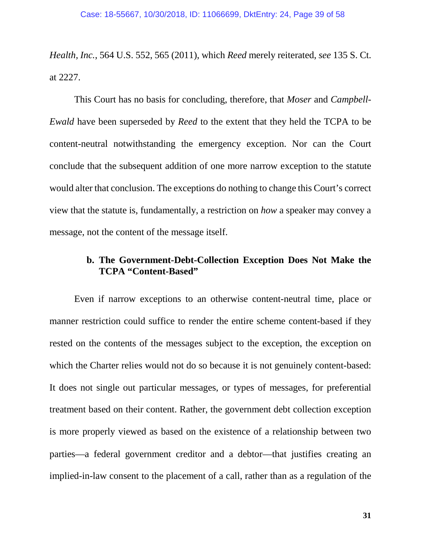*Health, Inc.*, 564 U.S. 552, 565 (2011), which *Reed* merely reiterated, *see* 135 S. Ct. at 2227.

This Court has no basis for concluding, therefore, that *Moser* and *Campbell-Ewald* have been superseded by *Reed* to the extent that they held the TCPA to be content-neutral notwithstanding the emergency exception. Nor can the Court conclude that the subsequent addition of one more narrow exception to the statute would alter that conclusion. The exceptions do nothing to change this Court's correct view that the statute is, fundamentally, a restriction on *how* a speaker may convey a message, not the content of the message itself.

## <span id="page-38-0"></span>**b. The Government-Debt-Collection Exception Does Not Make the TCPA "Content-Based"**

Even if narrow exceptions to an otherwise content-neutral time, place or manner restriction could suffice to render the entire scheme content-based if they rested on the contents of the messages subject to the exception, the exception on which the Charter relies would not do so because it is not genuinely content-based: It does not single out particular messages, or types of messages, for preferential treatment based on their content. Rather, the government debt collection exception is more properly viewed as based on the existence of a relationship between two parties—a federal government creditor and a debtor—that justifies creating an implied-in-law consent to the placement of a call, rather than as a regulation of the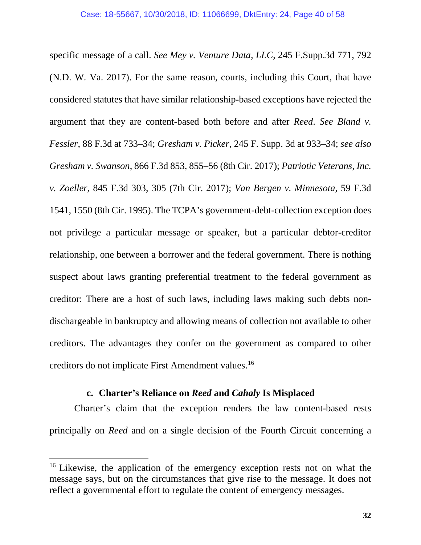specific message of a call. *See Mey v. Venture Data, LLC*, 245 F.Supp.3d 771, 792 (N.D. W. Va. 2017). For the same reason, courts, including this Court, that have considered statutes that have similar relationship-based exceptions have rejected the argument that they are content-based both before and after *Reed*. *See Bland v. Fessler*, 88 F.3d at 733–34; *Gresham v. Picker*, 245 F. Supp. 3d at 933–34; *see also Gresham v. Swanson*, 866 F.3d 853, 855–56 (8th Cir. 2017); *Patriotic Veterans, Inc. v. Zoeller*, 845 F.3d 303, 305 (7th Cir. 2017); *Van Bergen v. Minnesota*, 59 F.3d 1541, 1550 (8th Cir. 1995). The TCPA's government-debt-collection exception does not privilege a particular message or speaker, but a particular debtor-creditor relationship, one between a borrower and the federal government. There is nothing suspect about laws granting preferential treatment to the federal government as creditor: There are a host of such laws, including laws making such debts nondischargeable in bankruptcy and allowing means of collection not available to other creditors. The advantages they confer on the government as compared to other creditors do not implicate First Amendment values.[16](#page-39-1) 

### **c. Charter's Reliance on** *Reed* **and** *Cahaly* **Is Misplaced**

<span id="page-39-0"></span>Charter's claim that the exception renders the law content-based rests principally on *Reed* and on a single decision of the Fourth Circuit concerning a

<span id="page-39-1"></span><sup>&</sup>lt;sup>16</sup> Likewise, the application of the emergency exception rests not on what the message says, but on the circumstances that give rise to the message. It does not reflect a governmental effort to regulate the content of emergency messages.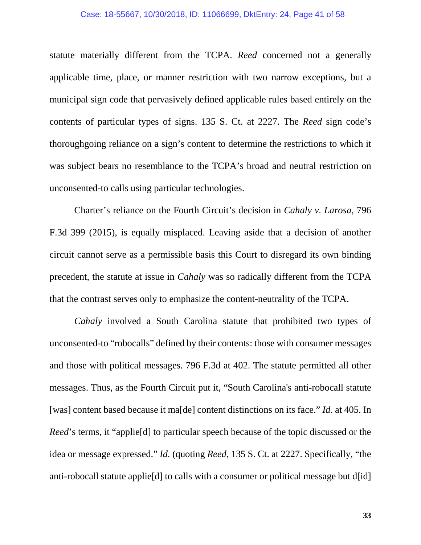#### Case: 18-55667, 10/30/2018, ID: 11066699, DktEntry: 24, Page 41 of 58

statute materially different from the TCPA. *Reed* concerned not a generally applicable time, place, or manner restriction with two narrow exceptions, but a municipal sign code that pervasively defined applicable rules based entirely on the contents of particular types of signs. 135 S. Ct. at 2227. The *Reed* sign code's thoroughgoing reliance on a sign's content to determine the restrictions to which it was subject bears no resemblance to the TCPA's broad and neutral restriction on unconsented-to calls using particular technologies.

Charter's reliance on the Fourth Circuit's decision in *Cahaly v. Larosa*, 796 F.3d 399 (2015), is equally misplaced. Leaving aside that a decision of another circuit cannot serve as a permissible basis this Court to disregard its own binding precedent, the statute at issue in *Cahaly* was so radically different from the TCPA that the contrast serves only to emphasize the content-neutrality of the TCPA.

*Cahaly* involved a South Carolina statute that prohibited two types of unconsented-to "robocalls" defined by their contents: those with consumer messages and those with political messages. 796 F.3d at 402. The statute permitted all other messages. Thus, as the Fourth Circuit put it, "South Carolina's anti-robocall statute [was] content based because it ma[de] content distinctions on its face." *Id*. at 405. In *Reed*'s terms, it "applie<sup>[d]</sup> to particular speech because of the topic discussed or the idea or message expressed." *Id.* (quoting *Reed*, 135 S. Ct. at 2227. Specifically, "the anti-robocall statute applie[d] to calls with a consumer or political message but d[id]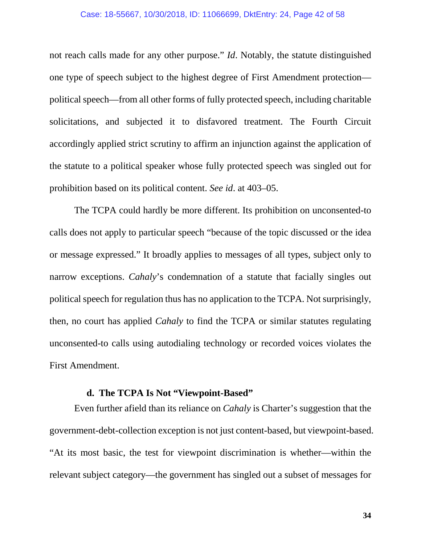not reach calls made for any other purpose." *Id*. Notably, the statute distinguished one type of speech subject to the highest degree of First Amendment protection political speech—from all other forms of fully protected speech, including charitable solicitations, and subjected it to disfavored treatment. The Fourth Circuit accordingly applied strict scrutiny to affirm an injunction against the application of the statute to a political speaker whose fully protected speech was singled out for prohibition based on its political content. *See id*. at 403–05.

The TCPA could hardly be more different. Its prohibition on unconsented-to calls does not apply to particular speech "because of the topic discussed or the idea or message expressed." It broadly applies to messages of all types, subject only to narrow exceptions. *Cahaly*'s condemnation of a statute that facially singles out political speech for regulation thus has no application to the TCPA. Not surprisingly, then, no court has applied *Cahaly* to find the TCPA or similar statutes regulating unconsented-to calls using autodialing technology or recorded voices violates the First Amendment.

### **d. The TCPA Is Not "Viewpoint-Based"**

<span id="page-41-0"></span>Even further afield than its reliance on *Cahaly* is Charter's suggestion that the government-debt-collection exception is not just content-based, but viewpoint-based. "At its most basic, the test for viewpoint discrimination is whether—within the relevant subject category—the government has singled out a subset of messages for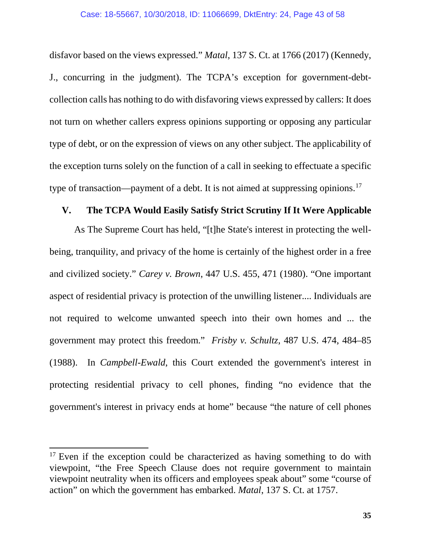disfavor based on the views expressed." *Matal*, 137 S. Ct. at 1766 (2017) (Kennedy, J., concurring in the judgment). The TCPA's exception for government-debtcollection calls has nothing to do with disfavoring views expressed by callers: It does not turn on whether callers express opinions supporting or opposing any particular type of debt, or on the expression of views on any other subject. The applicability of the exception turns solely on the function of a call in seeking to effectuate a specific type of transaction—payment of a debt. It is not aimed at suppressing opinions.<sup>[17](#page-42-1)</sup>

## <span id="page-42-0"></span>**V. The TCPA Would Easily Satisfy Strict Scrutiny If It Were Applicable**

As The Supreme Court has held, "[t]he State's interest in protecting the wellbeing, tranquility, and privacy of the home is certainly of the highest order in a free and civilized society." *Carey v. Brown*, 447 U.S. 455, 471 (1980). "One important aspect of residential privacy is protection of the unwilling listener.... Individuals are not required to welcome unwanted speech into their own homes and ... the government may protect this freedom." *Frisby v. Schultz*, 487 U.S. 474, 484–85 (1988). In *Campbell-Ewald*, this Court extended the government's interest in protecting residential privacy to cell phones, finding "no evidence that the government's interest in privacy ends at home" because "the nature of cell phones

<span id="page-42-1"></span> $17$  Even if the exception could be characterized as having something to do with viewpoint, "the Free Speech Clause does not require government to maintain viewpoint neutrality when its officers and employees speak about" some "course of action" on which the government has embarked. *Matal*, 137 S. Ct. at 1757.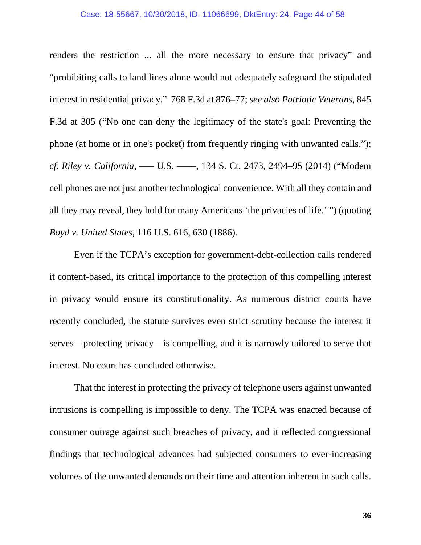#### Case: 18-55667, 10/30/2018, ID: 11066699, DktEntry: 24, Page 44 of 58

renders the restriction ... all the more necessary to ensure that privacy" and "prohibiting calls to land lines alone would not adequately safeguard the stipulated interest in residential privacy." 768 F.3d at 876–77; *see also Patriotic Veterans*, 845 F.3d at 305 ("No one can deny the legitimacy of the state's goal: Preventing the phone (at home or in one's pocket) from frequently ringing with unwanted calls."); *cf. Riley v. California*, ––– U.S. ––––, 134 S. Ct. 2473, 2494–95 (2014) ("Modem cell phones are not just another technological convenience. With all they contain and all they may reveal, they hold for many Americans 'the privacies of life.' ") (quoting *Boyd v. United States*, 116 U.S. 616, 630 (1886).

Even if the TCPA's exception for government-debt-collection calls rendered it content-based, its critical importance to the protection of this compelling interest in privacy would ensure its constitutionality. As numerous district courts have recently concluded, the statute survives even strict scrutiny because the interest it serves—protecting privacy—is compelling, and it is narrowly tailored to serve that interest. No court has concluded otherwise.

That the interest in protecting the privacy of telephone users against unwanted intrusions is compelling is impossible to deny. The TCPA was enacted because of consumer outrage against such breaches of privacy, and it reflected congressional findings that technological advances had subjected consumers to ever-increasing volumes of the unwanted demands on their time and attention inherent in such calls.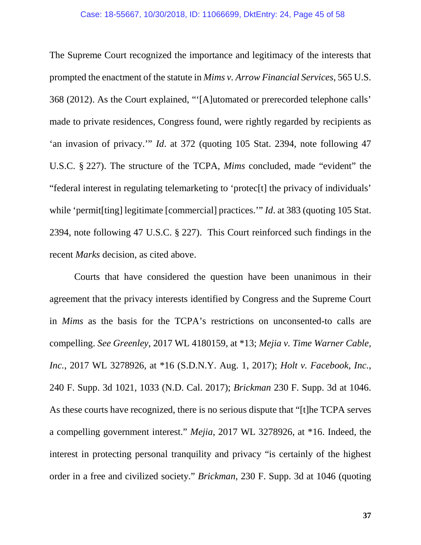The Supreme Court recognized the importance and legitimacy of the interests that prompted the enactment of the statute in *Mims v. Arrow Financial Services*, 565 U.S. 368 (2012). As the Court explained, "'[A]utomated or prerecorded telephone calls' made to private residences, Congress found, were rightly regarded by recipients as 'an invasion of privacy.'" *Id*. at 372 (quoting 105 Stat. 2394, note following 47 U.S.C. § 227). The structure of the TCPA, *Mims* concluded, made "evident" the "federal interest in regulating telemarketing to 'protec[t] the privacy of individuals' while 'permit<sup>[ting]</sup> legitimate [commercial] practices.'" *Id.* at 383 (quoting 105 Stat. 2394, note following 47 U.S.C. § 227). This Court reinforced such findings in the recent *Marks* decision, as cited above.

Courts that have considered the question have been unanimous in their agreement that the privacy interests identified by Congress and the Supreme Court in *Mims* as the basis for the TCPA's restrictions on unconsented-to calls are compelling. *See Greenley*, 2017 WL 4180159, at \*13; *Mejia v. Time Warner Cable, Inc.*, 2017 WL 3278926, at \*16 (S.D.N.Y. Aug. 1, 2017); *Holt v. Facebook, Inc.*, 240 F. Supp. 3d 1021, 1033 (N.D. Cal. 2017); *Brickman* 230 F. Supp. 3d at 1046. As these courts have recognized, there is no serious dispute that "[t]he TCPA serves a compelling government interest." *Mejia*, 2017 WL 3278926, at \*16. Indeed, the interest in protecting personal tranquility and privacy "is certainly of the highest order in a free and civilized society." *Brickman*, 230 F. Supp. 3d at 1046 (quoting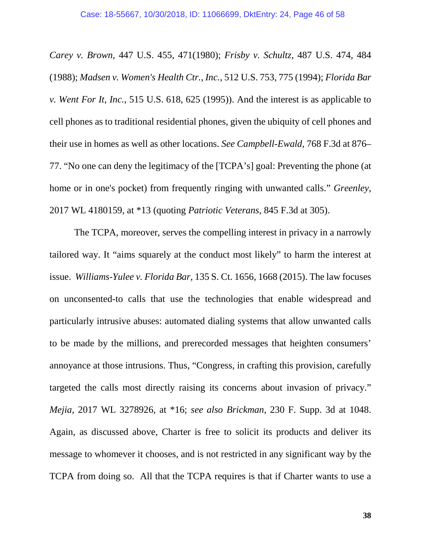*Carey v. Brown*, 447 U.S. 455, 471(1980); *Frisby v. Schultz*, 487 U.S. 474, 484 (1988); *Madsen v. Women's Health Ctr., Inc.*, 512 U.S. 753, 775 (1994); *Florida Bar v. Went For It, Inc.*, 515 U.S. 618, 625 (1995)). And the interest is as applicable to cell phones as to traditional residential phones, given the ubiquity of cell phones and their use in homes as well as other locations. *See Campbell-Ewald*, 768 F.3d at 876– 77. "No one can deny the legitimacy of the [TCPA's] goal: Preventing the phone (at home or in one's pocket) from frequently ringing with unwanted calls." *Greenley*, 2017 WL 4180159, at \*13 (quoting *Patriotic Veterans*, 845 F.3d at 305).

The TCPA, moreover, serves the compelling interest in privacy in a narrowly tailored way. It "aims squarely at the conduct most likely" to harm the interest at issue. *Williams-Yulee v. Florida Bar*, 135 S. Ct. 1656, 1668 (2015). The law focuses on unconsented-to calls that use the technologies that enable widespread and particularly intrusive abuses: automated dialing systems that allow unwanted calls to be made by the millions, and prerecorded messages that heighten consumers' annoyance at those intrusions. Thus, "Congress, in crafting this provision, carefully targeted the calls most directly raising its concerns about invasion of privacy." *Mejia*, 2017 WL 3278926, at \*16; *see also Brickman*, 230 F. Supp. 3d at 1048. Again, as discussed above, Charter is free to solicit its products and deliver its message to whomever it chooses, and is not restricted in any significant way by the TCPA from doing so. All that the TCPA requires is that if Charter wants to use a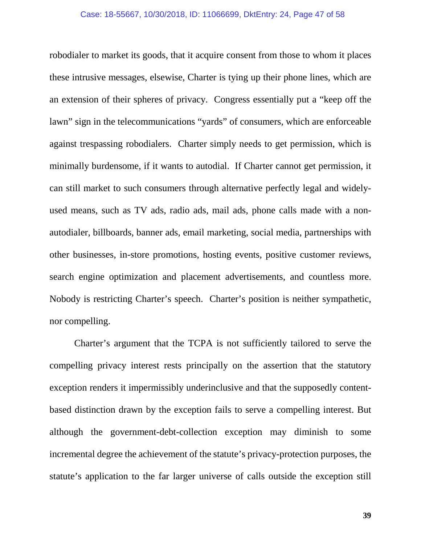robodialer to market its goods, that it acquire consent from those to whom it places these intrusive messages, elsewise, Charter is tying up their phone lines, which are an extension of their spheres of privacy. Congress essentially put a "keep off the lawn" sign in the telecommunications "yards" of consumers, which are enforceable against trespassing robodialers. Charter simply needs to get permission, which is minimally burdensome, if it wants to autodial. If Charter cannot get permission, it can still market to such consumers through alternative perfectly legal and widelyused means, such as TV ads, radio ads, mail ads, phone calls made with a nonautodialer, billboards, banner ads, email marketing, social media, partnerships with other businesses, in-store promotions, hosting events, positive customer reviews, search engine optimization and placement advertisements, and countless more. Nobody is restricting Charter's speech. Charter's position is neither sympathetic, nor compelling.

Charter's argument that the TCPA is not sufficiently tailored to serve the compelling privacy interest rests principally on the assertion that the statutory exception renders it impermissibly underinclusive and that the supposedly contentbased distinction drawn by the exception fails to serve a compelling interest. But although the government-debt-collection exception may diminish to some incremental degree the achievement of the statute's privacy-protection purposes, the statute's application to the far larger universe of calls outside the exception still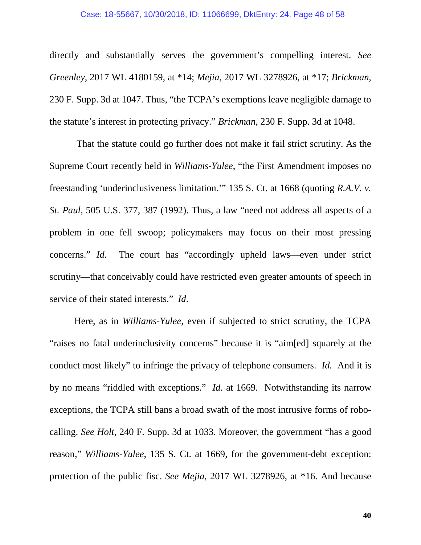directly and substantially serves the government's compelling interest. *See Greenley*, 2017 WL 4180159, at \*14; *Mejia*, 2017 WL 3278926, at \*17; *Brickman*, 230 F. Supp. 3d at 1047. Thus, "the TCPA's exemptions leave negligible damage to the statute's interest in protecting privacy." *Brickman*, 230 F. Supp. 3d at 1048.

That the statute could go further does not make it fail strict scrutiny. As the Supreme Court recently held in *Williams-Yulee*, "the First Amendment imposes no freestanding 'underinclusiveness limitation.'" 135 S. Ct. at 1668 (quoting *R.A.V. v. St. Paul,* 505 U.S. 377, 387 (1992). Thus, a law "need not address all aspects of a problem in one fell swoop; policymakers may focus on their most pressing concerns." *Id*. The court has "accordingly upheld laws—even under strict scrutiny—that conceivably could have restricted even greater amounts of speech in service of their stated interests." *Id*.

Here, as in *Williams-Yulee*, even if subjected to strict scrutiny, the TCPA "raises no fatal underinclusivity concerns" because it is "aim[ed] squarely at the conduct most likely" to infringe the privacy of telephone consumers. *Id.* And it is by no means "riddled with exceptions." *Id.* at 1669. Notwithstanding its narrow exceptions, the TCPA still bans a broad swath of the most intrusive forms of robocalling. *See Holt*, 240 F. Supp. 3d at 1033. Moreover, the government "has a good reason," *Williams-Yulee*, 135 S. Ct. at 1669, for the government-debt exception: protection of the public fisc. *See Mejia*, 2017 WL 3278926, at \*16. And because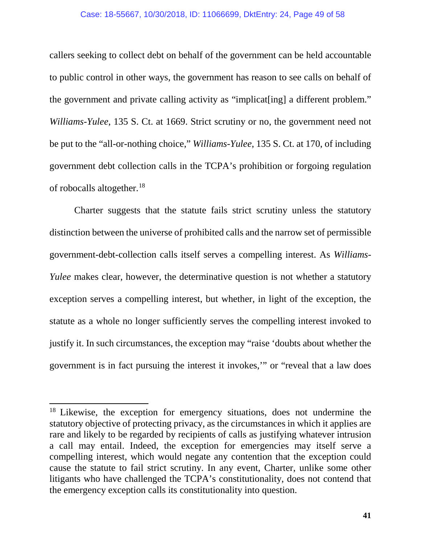#### Case: 18-55667, 10/30/2018, ID: 11066699, DktEntry: 24, Page 49 of 58

callers seeking to collect debt on behalf of the government can be held accountable to public control in other ways, the government has reason to see calls on behalf of the government and private calling activity as "implicat[ing] a different problem." *Williams-Yulee*, 135 S. Ct. at 1669. Strict scrutiny or no, the government need not be put to the "all-or-nothing choice," *Williams-Yulee*, 135 S. Ct. at 170, of including government debt collection calls in the TCPA's prohibition or forgoing regulation of robocalls altogether.[18](#page-48-0)

Charter suggests that the statute fails strict scrutiny unless the statutory distinction between the universe of prohibited calls and the narrow set of permissible government-debt-collection calls itself serves a compelling interest. As *Williams-Yulee* makes clear, however, the determinative question is not whether a statutory exception serves a compelling interest, but whether, in light of the exception, the statute as a whole no longer sufficiently serves the compelling interest invoked to justify it. In such circumstances, the exception may "raise 'doubts about whether the government is in fact pursuing the interest it invokes,'" or "reveal that a law does

<span id="page-48-0"></span><sup>&</sup>lt;sup>18</sup> Likewise, the exception for emergency situations, does not undermine the statutory objective of protecting privacy, as the circumstances in which it applies are rare and likely to be regarded by recipients of calls as justifying whatever intrusion a call may entail. Indeed, the exception for emergencies may itself serve a compelling interest, which would negate any contention that the exception could cause the statute to fail strict scrutiny. In any event, Charter, unlike some other litigants who have challenged the TCPA's constitutionality, does not contend that the emergency exception calls its constitutionality into question.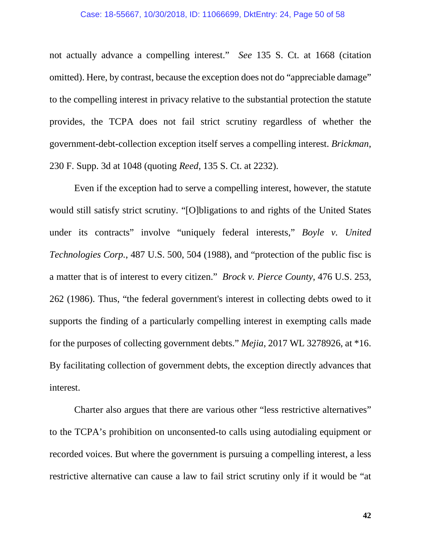#### Case: 18-55667, 10/30/2018, ID: 11066699, DktEntry: 24, Page 50 of 58

not actually advance a compelling interest." *See* 135 S. Ct. at 1668 (citation omitted). Here, by contrast, because the exception does not do "appreciable damage" to the compelling interest in privacy relative to the substantial protection the statute provides, the TCPA does not fail strict scrutiny regardless of whether the government-debt-collection exception itself serves a compelling interest. *Brickman*, 230 F. Supp. 3d at 1048 (quoting *Reed*, 135 S. Ct. at 2232).

Even if the exception had to serve a compelling interest, however, the statute would still satisfy strict scrutiny. "[O]bligations to and rights of the United States under its contracts" involve "uniquely federal interests," *Boyle v. United Technologies Corp.*, 487 U.S. 500, 504 (1988), and "protection of the public fisc is a matter that is of interest to every citizen." *Brock v. Pierce County*, 476 U.S. 253, 262 (1986). Thus, "the federal government's interest in collecting debts owed to it supports the finding of a particularly compelling interest in exempting calls made for the purposes of collecting government debts." *Mejia*, 2017 WL 3278926, at \*16. By facilitating collection of government debts, the exception directly advances that interest.

Charter also argues that there are various other "less restrictive alternatives" to the TCPA's prohibition on unconsented-to calls using autodialing equipment or recorded voices. But where the government is pursuing a compelling interest, a less restrictive alternative can cause a law to fail strict scrutiny only if it would be "at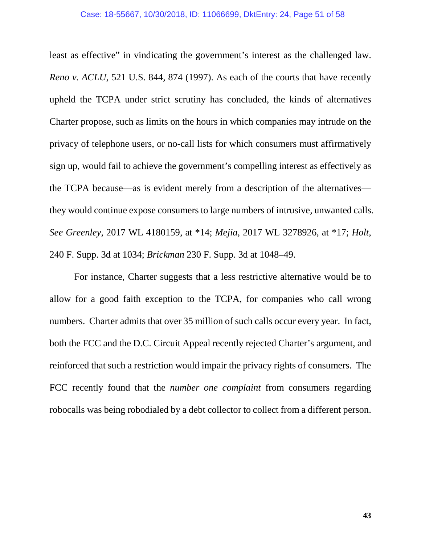least as effective" in vindicating the government's interest as the challenged law. *Reno v. ACLU*, 521 U.S. 844, 874 (1997). As each of the courts that have recently upheld the TCPA under strict scrutiny has concluded, the kinds of alternatives Charter propose, such as limits on the hours in which companies may intrude on the privacy of telephone users, or no-call lists for which consumers must affirmatively sign up, would fail to achieve the government's compelling interest as effectively as the TCPA because—as is evident merely from a description of the alternatives they would continue expose consumers to large numbers of intrusive, unwanted calls. *See Greenley*, 2017 WL 4180159, at \*14; *Mejia*, 2017 WL 3278926, at \*17; *Holt*, 240 F. Supp. 3d at 1034; *Brickman* 230 F. Supp. 3d at 1048–49.

For instance, Charter suggests that a less restrictive alternative would be to allow for a good faith exception to the TCPA, for companies who call wrong numbers. Charter admits that over 35 million of such calls occur every year. In fact, both the FCC and the D.C. Circuit Appeal recently rejected Charter's argument, and reinforced that such a restriction would impair the privacy rights of consumers. The FCC recently found that the *number one complaint* from consumers regarding robocalls was being robodialed by a debt collector to collect from a different person.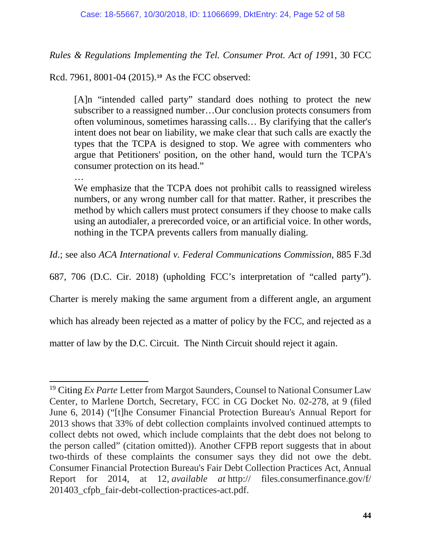*Rules & Regulations Implementing the Tel. Consumer Prot. Act of 199*1, 30 FCC

Rcd. 7961, 8001-04 (2015).**[19](#page-51-0)** As the FCC observed:

[A]n "intended called party" standard does nothing to protect the new subscriber to a reassigned number…Our conclusion protects consumers from often voluminous, sometimes harassing calls… By clarifying that the caller's intent does not bear on liability, we make clear that such calls are exactly the types that the TCPA is designed to stop. We agree with commenters who argue that Petitioners' position, on the other hand, would turn the TCPA's consumer protection on its head."

…

We emphasize that the TCPA does not prohibit calls to reassigned wireless numbers, or any wrong number call for that matter. Rather, it prescribes the method by which callers must protect consumers if they choose to make calls using an autodialer, a prerecorded voice, or an artificial voice. In other words, nothing in the TCPA prevents callers from manually dialing.

*Id*.; see also *ACA International v. Federal Communications Commission*, 885 F.3d

687, 706 (D.C. Cir. 2018) (upholding FCC's interpretation of "called party").

Charter is merely making the same argument from a different angle, an argument

which has already been rejected as a matter of policy by the FCC, and rejected as a

matter of law by the D.C. Circuit. The Ninth Circuit should reject it again.

<span id="page-51-0"></span><sup>19</sup> Citing *Ex Parte* Letter from Margot Saunders, Counsel to National Consumer Law Center, to Marlene Dortch, Secretary, FCC in CG Docket No. 02-278, at 9 (filed June 6, 2014) ("[t]he Consumer Financial Protection Bureau's Annual Report for 2013 shows that 33% of debt collection complaints involved continued attempts to collect debts not owed, which include complaints that the debt does not belong to the person called" (citation omitted)). Another CFPB report suggests that in about two-thirds of these complaints the consumer says they did not owe the debt. Consumer Financial Protection Bureau's Fair Debt Collection Practices Act, Annual Report for 2014, at 12, *available at* http:// files.consumerfinance.gov/f/ 201403\_cfpb\_fair-debt-collection-practices-act.pdf.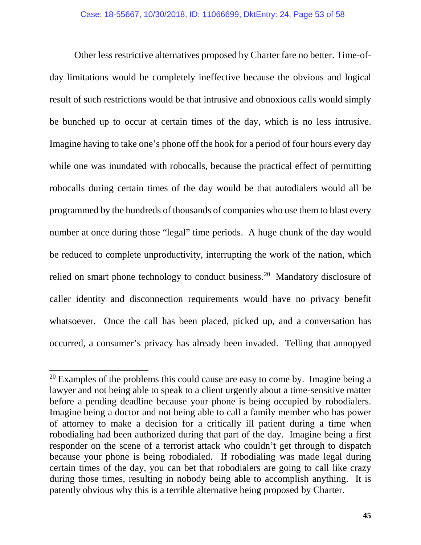Other less restrictive alternatives proposed by Charter fare no better. Time-ofday limitations would be completely ineffective because the obvious and logical result of such restrictions would be that intrusive and obnoxious calls would simply be bunched up to occur at certain times of the day, which is no less intrusive. Imagine having to take one's phone off the hook for a period of four hours every day while one was inundated with robocalls, because the practical effect of permitting robocalls during certain times of the day would be that autodialers would all be programmed by the hundreds of thousands of companies who use them to blast every number at once during those "legal" time periods. A huge chunk of the day would be reduced to complete unproductivity, interrupting the work of the nation, which relied on smart phone technology to conduct business.<sup>[20](#page-52-0)</sup> Mandatory disclosure of caller identity and disconnection requirements would have no privacy benefit whatsoever. Once the call has been placed, picked up, and a conversation has occurred, a consumer's privacy has already been invaded. Telling that annopyed

<span id="page-52-0"></span> $20$  Examples of the problems this could cause are easy to come by. Imagine being a lawyer and not being able to speak to a client urgently about a time-sensitive matter before a pending deadline because your phone is being occupied by robodialers. Imagine being a doctor and not being able to call a family member who has power of attorney to make a decision for a critically ill patient during a time when robodialing had been authorized during that part of the day. Imagine being a first responder on the scene of a terrorist attack who couldn't get through to dispatch because your phone is being robodialed. If robodialing was made legal during certain times of the day, you can bet that robodialers are going to call like crazy during those times, resulting in nobody being able to accomplish anything. It is patently obvious why this is a terrible alternative being proposed by Charter.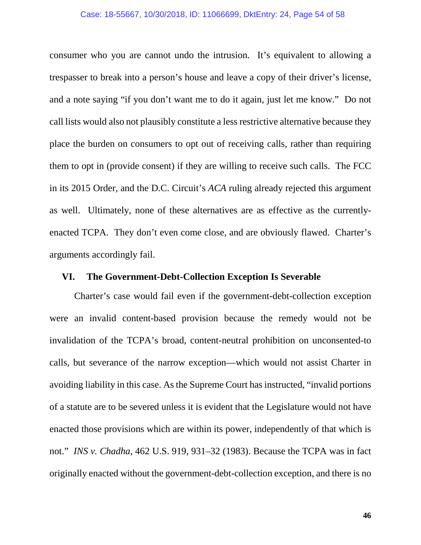#### Case: 18-55667, 10/30/2018, ID: 11066699, DktEntry: 24, Page 54 of 58

consumer who you are cannot undo the intrusion. It's equivalent to allowing a trespasser to break into a person's house and leave a copy of their driver's license, and a note saying "if you don't want me to do it again, just let me know." Do not call lists would also not plausibly constitute a less restrictive alternative because they place the burden on consumers to opt out of receiving calls, rather than requiring them to opt in (provide consent) if they are willing to receive such calls. The FCC in its 2015 Order, and the D.C. Circuit's *ACA* ruling already rejected this argument as well. Ultimately, none of these alternatives are as effective as the currentlyenacted TCPA. They don't even come close, and are obviously flawed. Charter's arguments accordingly fail.

#### <span id="page-53-0"></span>**VI. The Government-Debt-Collection Exception Is Severable**

Charter's case would fail even if the government-debt-collection exception were an invalid content-based provision because the remedy would not be invalidation of the TCPA's broad, content-neutral prohibition on unconsented-to calls, but severance of the narrow exception—which would not assist Charter in avoiding liability in this case. As the Supreme Court has instructed, "invalid portions of a statute are to be severed unless it is evident that the Legislature would not have enacted those provisions which are within its power, independently of that which is not." *INS v. Chadha*, 462 U.S. 919, 931–32 (1983). Because the TCPA was in fact originally enacted without the government-debt-collection exception, and there is no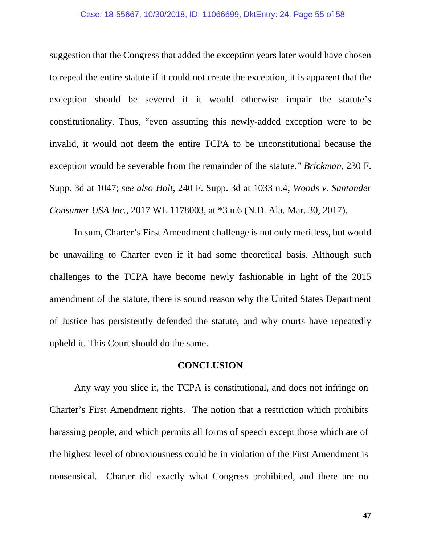suggestion that the Congress that added the exception years later would have chosen to repeal the entire statute if it could not create the exception, it is apparent that the exception should be severed if it would otherwise impair the statute's constitutionality. Thus, "even assuming this newly-added exception were to be invalid, it would not deem the entire TCPA to be unconstitutional because the exception would be severable from the remainder of the statute." *Brickman*, 230 F. Supp. 3d at 1047; *see also Holt*, 240 F. Supp. 3d at 1033 n.4; *Woods v. Santander Consumer USA Inc.*, 2017 WL 1178003, at \*3 n.6 (N.D. Ala. Mar. 30, 2017).

In sum, Charter's First Amendment challenge is not only meritless, but would be unavailing to Charter even if it had some theoretical basis. Although such challenges to the TCPA have become newly fashionable in light of the 2015 amendment of the statute, there is sound reason why the United States Department of Justice has persistently defended the statute, and why courts have repeatedly upheld it. This Court should do the same.

### **CONCLUSION**

<span id="page-54-0"></span>Any way you slice it, the TCPA is constitutional, and does not infringe on Charter's First Amendment rights. The notion that a restriction which prohibits harassing people, and which permits all forms of speech except those which are of the highest level of obnoxiousness could be in violation of the First Amendment is nonsensical. Charter did exactly what Congress prohibited, and there are no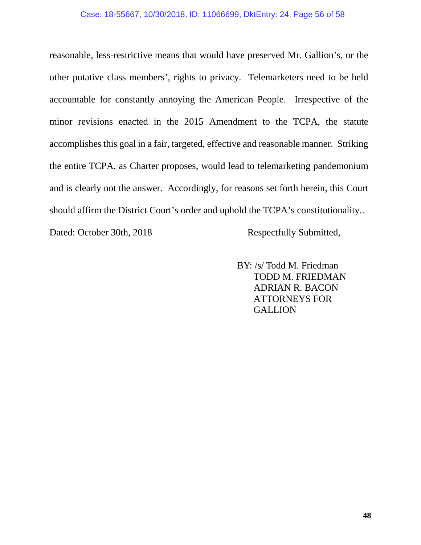#### Case: 18-55667, 10/30/2018, ID: 11066699, DktEntry: 24, Page 56 of 58

reasonable, less-restrictive means that would have preserved Mr. Gallion's, or the other putative class members', rights to privacy. Telemarketers need to be held accountable for constantly annoying the American People. Irrespective of the minor revisions enacted in the 2015 Amendment to the TCPA, the statute accomplishes this goal in a fair, targeted, effective and reasonable manner. Striking the entire TCPA, as Charter proposes, would lead to telemarketing pandemonium and is clearly not the answer. Accordingly, for reasons set forth herein, this Court should affirm the District Court's order and uphold the TCPA's constitutionality..

Dated: October 30th, 2018 Respectfully Submitted,

 BY: /s/ Todd M. Friedman TODD M. FRIEDMAN ADRIAN R. BACON ATTORNEYS FOR **GALLION**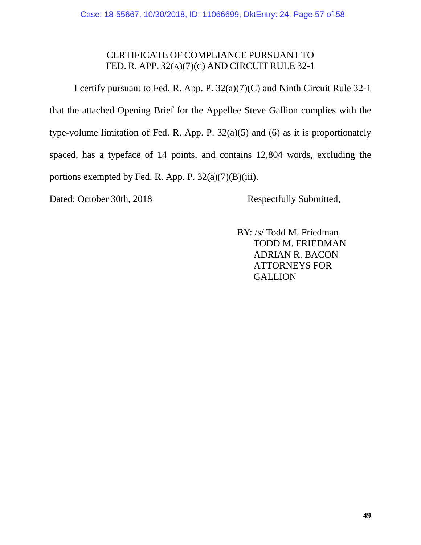## CERTIFICATE OF COMPLIANCE PURSUANT TO FED. R. APP. 32(A)(7)(C) AND CIRCUIT RULE 32-1

I certify pursuant to Fed. R. App. P. 32(a)(7)(C) and Ninth Circuit Rule 32-1 that the attached Opening Brief for the Appellee Steve Gallion complies with the type-volume limitation of Fed. R. App. P. 32(a)(5) and (6) as it is proportionately spaced, has a typeface of 14 points, and contains 12,804 words, excluding the portions exempted by Fed. R. App. P.  $32(a)(7)(B)(iii)$ .

Dated: October 30th, 2018 Respectfully Submitted,

 BY: /s/ Todd M. Friedman TODD M. FRIEDMAN ADRIAN R. BACON ATTORNEYS FOR **GALLION**